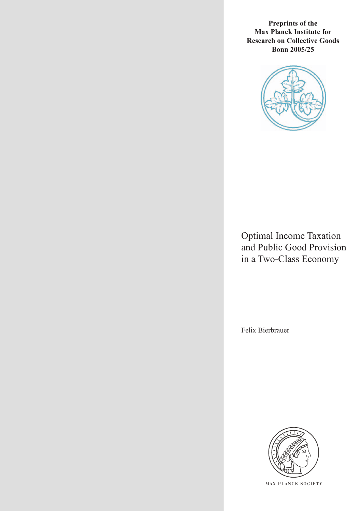**Preprints of the Max Planck Institute for Research on Collective Goods Bonn 2005/25**



Optimal Income Taxation and Public Good Provision in a Two-Class Economy

Felix Bierbrauer



**M AX P L A N C K S O C I E T Y**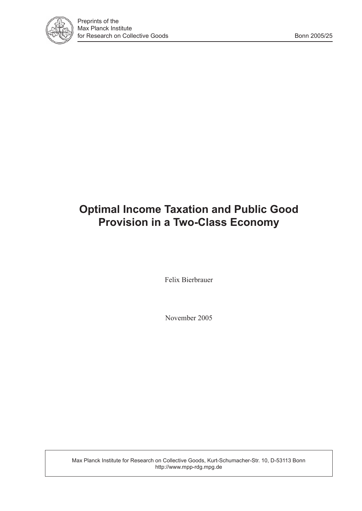

# **Optimal Income Taxation and Public Good Provision in a Two-Class Economy**

Felix Bierbrauer

November 2005

Max Planck Institute for Research on Collective Goods, Kurt-Schumacher-Str. 10, D-53113 Bonn http://www.mpp-rdg.mpg.de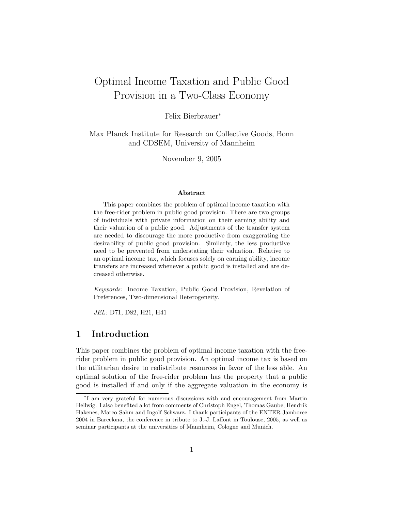## Optimal Income Taxation and Public Good Provision in a Two-Class Economy

Felix Bierbrauer<sup>∗</sup>

Max Planck Institute for Research on Collective Goods, Bonn and CDSEM, University of Mannheim

November 9, 2005

#### Abstract

This paper combines the problem of optimal income taxation with the free-rider problem in public good provision. There are two groups of individuals with private information on their earning ability and their valuation of a public good. Adjustments of the transfer system are needed to discourage the more productive from exaggerating the desirability of public good provision. Similarly, the less productive need to be prevented from understating their valuation. Relative to an optimal income tax, which focuses solely on earning ability, income transfers are increased whenever a public good is installed and are decreased otherwise.

Keywords: Income Taxation, Public Good Provision, Revelation of Preferences, Two-dimensional Heterogeneity.

JEL: D71, D82, H21, H41

## 1 Introduction

This paper combines the problem of optimal income taxation with the freerider problem in public good provision. An optimal income tax is based on the utilitarian desire to redistribute resources in favor of the less able. An optimal solution of the free-rider problem has the property that a public good is installed if and only if the aggregate valuation in the economy is

<sup>∗</sup> I am very grateful for numerous discussions with and encouragement from Martin Hellwig. I also benefited a lot from comments of Christoph Engel, Thomas Gaube, Hendrik Hakenes, Marco Sahm and Ingolf Schwarz. I thank participants of the ENTER Jamboree 2004 in Barcelona, the conference in tribute to J.-J. Laffont in Toulouse, 2005, as well as seminar participants at the universities of Mannheim, Cologne and Munich.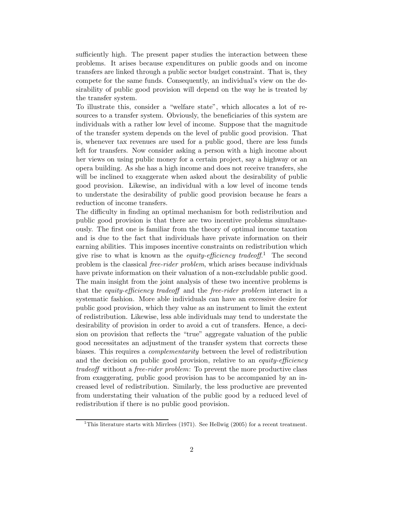sufficiently high. The present paper studies the interaction between these problems. It arises because expenditures on public goods and on income transfers are linked through a public sector budget constraint. That is, they compete for the same funds. Consequently, an individual's view on the desirability of public good provision will depend on the way he is treated by the transfer system.

To illustrate this, consider a "welfare state", which allocates a lot of resources to a transfer system. Obviously, the beneficiaries of this system are individuals with a rather low level of income. Suppose that the magnitude of the transfer system depends on the level of public good provision. That is, whenever tax revenues are used for a public good, there are less funds left for transfers. Now consider asking a person with a high income about her views on using public money for a certain project, say a highway or an opera building. As she has a high income and does not receive transfers, she will be inclined to exaggerate when asked about the desirability of public good provision. Likewise, an individual with a low level of income tends to understate the desirability of public good provision because he fears a reduction of income transfers.

The difficulty in finding an optimal mechanism for both redistribution and public good provision is that there are two incentive problems simultaneously. The first one is familiar from the theory of optimal income taxation and is due to the fact that individuals have private information on their earning abilities. This imposes incentive constraints on redistribution which give rise to what is known as the *equity-efficiency tradeoff*.<sup>1</sup> The second problem is the classical free-rider problem, which arises because individuals have private information on their valuation of a non-excludable public good. The main insight from the joint analysis of these two incentive problems is that the equity-efficiency tradeoff and the free-rider problem interact in a systematic fashion. More able individuals can have an excessive desire for public good provision, which they value as an instrument to limit the extent of redistribution. Likewise, less able individuals may tend to understate the desirability of provision in order to avoid a cut of transfers. Hence, a decision on provision that reflects the "true" aggregate valuation of the public good necessitates an adjustment of the transfer system that corrects these biases. This requires a complementarity between the level of redistribution and the decision on public good provision, relative to an *equity-efficiency* tradeoff without a free-rider problem: To prevent the more productive class from exaggerating, public good provision has to be accompanied by an increased level of redistribution. Similarly, the less productive are prevented from understating their valuation of the public good by a reduced level of redistribution if there is no public good provision.

<sup>&</sup>lt;sup>1</sup>This literature starts with Mirrlees (1971). See Hellwig (2005) for a recent treatment.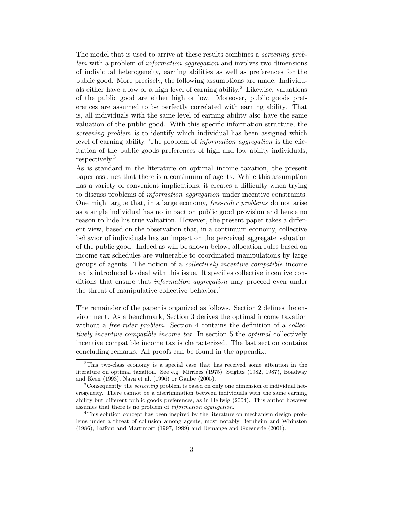The model that is used to arrive at these results combines a *screening prob*lem with a problem of information aggregation and involves two dimensions of individual heterogeneity, earning abilities as well as preferences for the public good. More precisely, the following assumptions are made. Individuals either have a low or a high level of earning ability.<sup>2</sup> Likewise, valuations of the public good are either high or low. Moreover, public goods preferences are assumed to be perfectly correlated with earning ability. That is, all individuals with the same level of earning ability also have the same valuation of the public good. With this specific information structure, the screening problem is to identify which individual has been assigned which level of earning ability. The problem of information aggregation is the elicitation of the public goods preferences of high and low ability individuals, respectively.<sup>3</sup>

As is standard in the literature on optimal income taxation, the present paper assumes that there is a continuum of agents. While this assumption has a variety of convenient implications, it creates a difficulty when trying to discuss problems of information aggregation under incentive constraints. One might argue that, in a large economy, free-rider problems do not arise as a single individual has no impact on public good provision and hence no reason to hide his true valuation. However, the present paper takes a different view, based on the observation that, in a continuum economy, collective behavior of individuals has an impact on the perceived aggregate valuation of the public good. Indeed as will be shown below, allocation rules based on income tax schedules are vulnerable to coordinated manipulations by large groups of agents. The notion of a collectively incentive compatible income tax is introduced to deal with this issue. It specifies collective incentive conditions that ensure that *information aggregation* may proceed even under the threat of manipulative collective behavior.<sup>4</sup>

The remainder of the paper is organized as follows. Section 2 defines the environment. As a benchmark, Section 3 derives the optimal income taxation without a *free-rider problem.* Section 4 contains the definition of a *collec*tively incentive compatible income tax. In section 5 the optimal collectively incentive compatible income tax is characterized. The last section contains concluding remarks. All proofs can be found in the appendix.

<sup>2</sup>This two-class economy is a special case that has received some attention in the literature on optimal taxation. See e.g. Mirrlees (1975), Stiglitz (1982, 1987), Boadway and Keen (1993), Nava et al. (1996) or Gaube (2005).

 $3$ Consequently, the *screening* problem is based on only one dimension of individual heterogeneity. There cannot be a discrimination between individuals with the same earning ability but different public goods preferences, as in Hellwig (2004). This author however assumes that there is no problem of information aggregation.

<sup>4</sup>This solution concept has been inspired by the literature on mechanism design problems under a threat of collusion among agents, most notably Bernheim and Whinston (1986), Laffont and Martimort (1997, 1999) and Demange and Guesnerie (2001).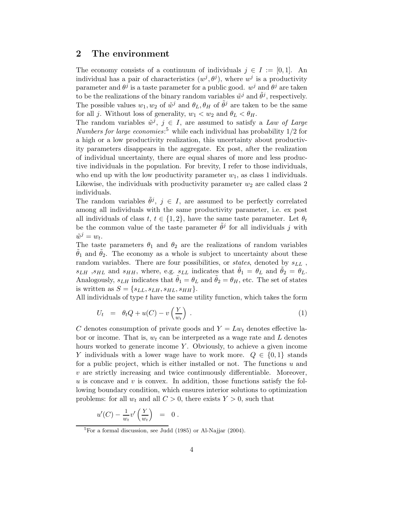## 2 The environment

The economy consists of a continuum of individuals  $j \in I := [0, 1]$ . An individual has a pair of characteristics  $(w^j, \theta^j)$ , where  $w^j$  is a productivity parameter and  $\theta^j$  is a taste parameter for a public good.  $w^j$  and  $\theta^j$  are taken to be the realizations of the binary random variables  $\tilde{w}^j$  and  $\tilde{\theta}^j$ , respectively. The possible values  $w_1, w_2$  of  $\tilde{w}^j$  and  $\theta_L, \theta_H$  of  $\tilde{\theta}^j$  are taken to be the same for all j. Without loss of generality,  $w_1 < w_2$  and  $\theta_L < \theta_H$ .

The random variables  $\tilde{w}^j$ ,  $j \in I$ , are assumed to satisfy a Law of Large Numbers for large economies:<sup>5</sup> while each individual has probability  $1/2$  for a high or a low productivity realization, this uncertainty about productivity parameters disappears in the aggregate. Ex post, after the realization of individual uncertainty, there are equal shares of more and less productive individuals in the population. For brevity, I refer to those individuals, who end up with the low productivity parameter  $w_1$ , as class 1 individuals. Likewise, the individuals with productivity parameter  $w_2$  are called class 2 individuals.

The random variables  $\tilde{\theta}^j$ ,  $j \in I$ , are assumed to be perfectly correlated among all individuals with the same productivity parameter, i.e. ex post all individuals of class  $t, t \in \{1, 2\}$ , have the same taste parameter. Let  $\theta_t$ be the common value of the taste parameter  $\tilde{\theta}^j$  for all individuals j with  $\tilde{w}^j = w_t.$ 

The taste parameters  $\theta_1$  and  $\theta_2$  are the realizations of random variables  $\theta_1$  and  $\theta_2$ . The economy as a whole is subject to uncertainty about these random variables. There are four possibilities, or *states*, denoted by  $s_{LL}$ ,  $s_{LH}$ ,  $s_{HL}$  and  $s_{HH}$ , where, e.g.  $s_{LL}$  indicates that  $\theta_1 = \theta_L$  and  $\theta_2 = \theta_L$ . Analogously,  $s_{LH}$  indicates that  $\tilde{\theta}_1 = \theta_L$  and  $\tilde{\theta}_2 = \theta_H$ , etc. The set of states is written as  $S = \{s_{LL}, s_{LH}, s_{HL}, s_{HH}\}.$ 

All individuals of type  $t$  have the same utility function, which takes the form

$$
U_t = \theta_t Q + u(C) - v\left(\frac{Y}{w_t}\right) \tag{1}
$$

C denotes consumption of private goods and  $Y = L w_t$  denotes effective labor or income. That is,  $w_t$  can be interpreted as a wage rate and L denotes hours worked to generate income  $Y$ . Obviously, to achieve a given income Y individuals with a lower wage have to work more.  $Q \in \{0,1\}$  stands for a public project, which is either installed or not. The functions  $u$  and  $v$  are strictly increasing and twice continuously differentiable. Moreover, u is concave and v is convex. In addition, those functions satisfy the following boundary condition, which ensures interior solutions to optimization problems: for all  $w_t$  and all  $C > 0$ , there exists  $Y > 0$ , such that

$$
u'(C) - \frac{1}{w_t}v'\left(\frac{Y}{w_t}\right) = 0.
$$

 ${}^{5}$ For a formal discussion, see Judd (1985) or Al-Najjar (2004).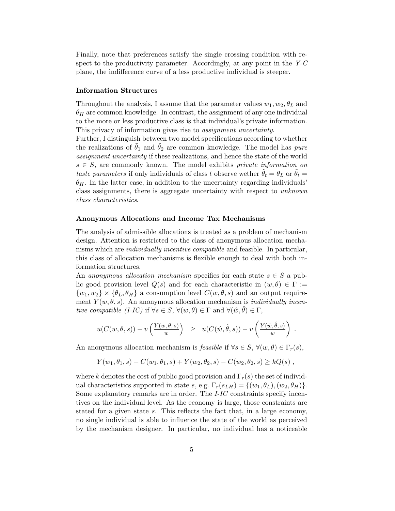Finally, note that preferences satisfy the single crossing condition with respect to the productivity parameter. Accordingly, at any point in the Y-C plane, the indifference curve of a less productive individual is steeper.

#### Information Structures

Throughout the analysis, I assume that the parameter values  $w_1, w_2, \theta_L$  and  $\theta_H$  are common knowledge. In contrast, the assignment of any one individual to the more or less productive class is that individual's private information. This privacy of information gives rise to assignment uncertainty.

Further, I distinguish between two model specifications according to whether the realizations of  $\theta_1$  and  $\theta_2$  are common knowledge. The model has *pure* assignment uncertainty if these realizations, and hence the state of the world  $s \in S$ , are commonly known. The model exhibits private information on taste parameters if only individuals of class t observe wether  $\theta_t = \theta_L$  or  $\theta_t =$  $\theta_H$ . In the latter case, in addition to the uncertainty regarding individuals' class assignments, there is aggregate uncertainty with respect to unknown class characteristics.

#### Anonymous Allocations and Income Tax Mechanisms

The analysis of admissible allocations is treated as a problem of mechanism design. Attention is restricted to the class of anonymous allocation mechanisms which are individually incentive compatible and feasible. In particular, this class of allocation mechanisms is flexible enough to deal with both information structures.

An anonymous allocation mechanism specifies for each state  $s \in S$  a public good provision level  $Q(s)$  and for each characteristic in  $(w, \theta) \in \Gamma :=$  $\{w_1, w_2\} \times \{\theta_L, \theta_H\}$  a consumption level  $C(w, \theta, s)$  and an output requirement  $Y(w, \theta, s)$ . An anonymous allocation mechanism is *individually incen*tive compatible (I-IC) if  $\forall s \in S$ ,  $\forall (w, \theta) \in \Gamma$  and  $\forall (\hat{w}, \hat{\theta}) \in \Gamma$ ,

$$
u(C(w, \theta, s)) - v\left(\frac{Y(w, \theta, s)}{w}\right) \geq u(C(\hat{w}, \hat{\theta}, s)) - v\left(\frac{Y(\hat{w}, \hat{\theta}, s)}{w}\right).
$$

An anonymous allocation mechanism is *feasible* if  $\forall s \in S$ ,  $\forall (w, \theta) \in \Gamma_r(s)$ ,

$$
Y(w_1, \theta_1, s) - C(w_1, \theta_1, s) + Y(w_2, \theta_2, s) - C(w_2, \theta_2, s) \geq kQ(s) ,
$$

where k denotes the cost of public good provision and  $\Gamma_r(s)$  the set of individual characteristics supported in state s, e.g.  $\Gamma_r(s_{LH}) = \{(w_1, \theta_L), (w_2, \theta_H)\}.$ Some explanatory remarks are in order. The *I-IC* constraints specify incentives on the individual level. As the economy is large, those constraints are stated for a given state s. This reflects the fact that, in a large economy, no single individual is able to influence the state of the world as perceived by the mechanism designer. In particular, no individual has a noticeable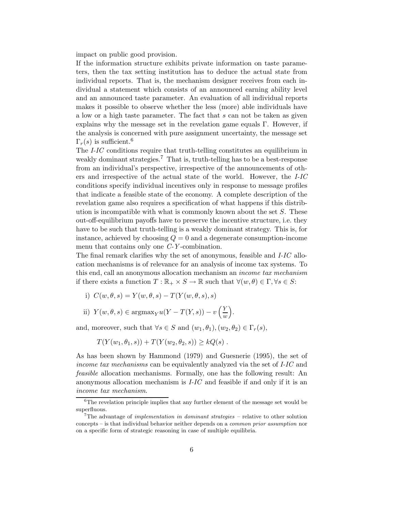impact on public good provision.

If the information structure exhibits private information on taste parameters, then the tax setting institution has to deduce the actual state from individual reports. That is, the mechanism designer receives from each individual a statement which consists of an announced earning ability level and an announced taste parameter. An evaluation of all individual reports makes it possible to observe whether the less (more) able individuals have a low or a high taste parameter. The fact that s can not be taken as given explains why the message set in the revelation game equals Γ. However, if the analysis is concerned with pure assignment uncertainty, the message set  $\Gamma_r(s)$  is sufficient.<sup>6</sup>

The I-IC conditions require that truth-telling constitutes an equilibrium in weakly dominant strategies.<sup>7</sup> That is, truth-telling has to be a best-response from an individual's perspective, irrespective of the announcements of others and irrespective of the actual state of the world. However, the I-IC conditions specify individual incentives only in response to message profiles that indicate a feasible state of the economy. A complete description of the revelation game also requires a specification of what happens if this distribution is incompatible with what is commonly known about the set  $S$ . These out-off-equilibrium payoffs have to preserve the incentive structure, i.e. they have to be such that truth-telling is a weakly dominant strategy. This is, for instance, achieved by choosing  $Q = 0$  and a degenerate consumption-income menu that contains only one C-Y-combination.

The final remark clarifies why the set of anonymous, feasible and I-IC allocation mechanisms is of relevance for an analysis of income tax systems. To this end, call an anonymous allocation mechanism an income tax mechanism if there exists a function  $T : \mathbb{R}_+ \times S \to \mathbb{R}$  such that  $\forall (w, \theta) \in \Gamma, \forall s \in S$ :

- i)  $C(w, \theta, s) = Y(w, \theta, s) T(Y(w, \theta, s), s)$
- ii)  $Y(w, \theta, s) \in \text{argmax}_{Y} u(Y T(Y, s)) v\left(\frac{Y}{w}\right)$ w .

and, moreover, such that  $\forall s \in S$  and  $(w_1, \theta_1), (w_2, \theta_2) \in \Gamma_r(s)$ ,

$$
T(Y(w_1, \theta_1, s)) + T(Y(w_2, \theta_2, s)) \ge kQ(s) .
$$

As has been shown by Hammond (1979) and Guesnerie (1995), the set of income tax mechanisms can be equivalently analyzed via the set of I-IC and feasible allocation mechanisms. Formally, one has the following result: An anonymous allocation mechanism is  $I$ - $IC$  and feasible if and only if it is an income tax mechanism.

 ${}^{6}$ The revelation principle implies that any further element of the message set would be superfluous.

<sup>&</sup>lt;sup>7</sup>The advantage of *implementation in dominant strategies* – relative to other solution concepts – is that individual behavior neither depends on a common prior assumption nor on a specific form of strategic reasoning in case of multiple equilibria.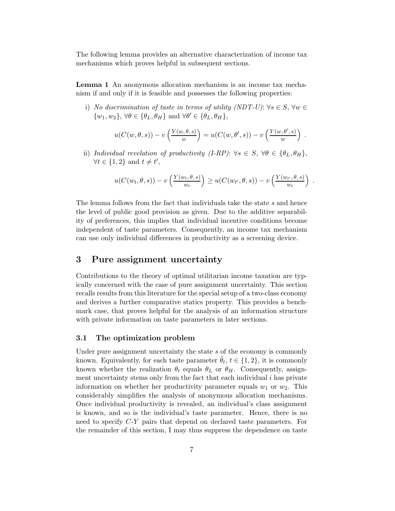The following lemma provides an alternative characterization of income tax mechanisms which proves helpful in subsequent sections.

Lemma 1 An anonymous allocation mechanism is an income tax mechanism if and only if it is feasible and possesses the following properties:

i) No discrimination of taste in terms of utility (NDT-U):  $\forall s \in S, \forall w \in$  $\{w_1, w_2\}, \forall \theta \in \{\theta_L, \theta_H\} \text{ and } \forall \theta' \in \{\theta_L, \theta_H\},\$ 

$$
u(C(w, \theta, s)) - v\left(\frac{Y(w, \theta, s)}{w}\right) = u(C(w, \theta', s)) - v\left(\frac{Y(w, \theta', s)}{w}\right).
$$

ii) Individual revelation of productivity  $(I-RP)$ :  $\forall s \in S, \forall \theta \in {\theta_L, \theta_H},$  $\forall t \in \{1,2\} \text{ and } t \neq t'$ ,

$$
u(C(w_t, \theta, s)) - v\left(\frac{Y(w_t, \theta, s)}{w_t}\right) \ge u(C(w_{t'}, \theta, s)) - v\left(\frac{Y(w_{t'}, \theta, s)}{w_t}\right)
$$

.

The lemma follows from the fact that individuals take the state s and hence the level of public good provision as given. Due to the additive separability of preferences, this implies that individual incentive conditions become independent of taste parameters. Consequently, an income tax mechanism can use only individual differences in productivity as a screening device.

## 3 Pure assignment uncertainty

Contributions to the theory of optimal utilitarian income taxation are typically concerned with the case of pure assignment uncertainty. This section recalls results from this literature for the special setup of a two-class economy and derives a further comparative statics property. This provides a benchmark case, that proves helpful for the analysis of an information structure with private information on taste parameters in later sections.

#### 3.1 The optimization problem

Under pure assignment uncertainty the state  $s$  of the economy is commonly known. Equivalently, for each taste parameter  $\tilde{\theta}_t$ ,  $t \in \{1, 2\}$ , it is commonly known whether the realization  $\theta_t$  equals  $\theta_L$  or  $\theta_H$ . Consequently, assignment uncertainty stems only from the fact that each individual  $i$  has private information on whether her productivity parameter equals  $w_1$  or  $w_2$ . This considerably simplifies the analysis of anonymous allocation mechanisms. Once individual productivity is revealed, an individual's class assignment is known, and so is the individual's taste parameter. Hence, there is no need to specify C-Y pairs that depend on declared taste parameters. For the remainder of this section, I may thus suppress the dependence on taste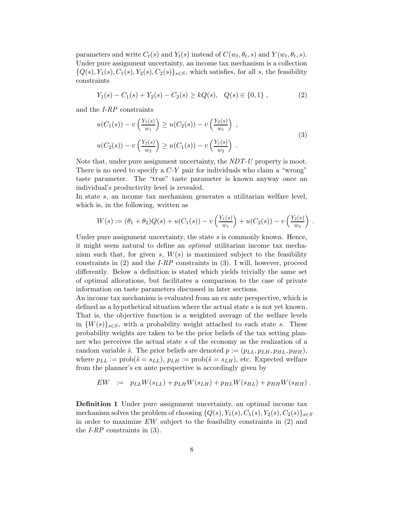parameters and write  $C_t(s)$  and  $Y_t(s)$  instead of  $C(w_t, \theta_t, s)$  and  $Y(w_t, \theta_t, s)$ . Under pure assignment uncertainty, an income tax mechanism is a collection  ${Q(s), Y_1(s), C_1(s), Y_2(s), C_2(s)}_{s \in S}$ , which satisfies, for all s, the feasibility constraints

$$
Y_1(s) - C_1(s) + Y_2(s) - C_2(s) \ge kQ(s), \quad Q(s) \in \{0, 1\},\tag{2}
$$

and the I-RP constraints

$$
u(C_1(s)) - v\left(\frac{Y_1(s)}{w_1}\right) \ge u(C_2(s)) - v\left(\frac{Y_2(s)}{w_1}\right) ,
$$
  

$$
u(C_2(s)) - v\left(\frac{Y_2(s)}{w_2}\right) \ge u(C_1(s)) - v\left(\frac{Y_1(s)}{w_2}\right) .
$$
 (3)

Note that, under pure assignment uncertainty, the  $NDT-U$  property is moot. There is no need to specify a  $C-Y$  pair for individuals who claim a "wrong" taste parameter. The "true" taste parameter is known anyway once an individual's productivity level is revealed.

In state s, an income tax mechanism generates a utilitarian welfare level, which is, in the following, written as

$$
W(s) := (\theta_1 + \theta_2)Q(s) + u(C_1(s)) - v\left(\frac{Y_1(s)}{w_1}\right) + u(C_2(s)) - v\left(\frac{Y_2(s)}{w_2}\right)
$$

.

Under pure assignment uncertainty, the state  $s$  is commonly known. Hence, it might seem natural to define an optimal utilitarian income tax mechanism such that, for given s,  $W(s)$  is maximized subject to the feasibility constraints in  $(2)$  and the *I-RP* constraints in  $(3)$ . I will, however, proceed differently. Below a definition is stated which yields trivially the same set of optimal allocations, but facilitates a comparison to the case of private information on taste parameters discussed in later sections.

An income tax mechanism is evaluated from an ex ante perspective, which is defined as a hypothetical situation where the actual state s is not yet known. That is, the objective function is a weighted average of the welfare levels in  ${W(s)}_{s \in S}$ , with a probability weight attached to each state s. These probability weights are taken to be the prior beliefs of the tax setting planner who perceives the actual state s of the economy as the realization of a random variable  $\tilde{s}$ . The prior beliefs are denoted  $p := (p_{LL}, p_{LH}, p_{HL}, p_{HH}),$ where  $p_{LL} := \text{prob}(\tilde{s} = s_{LL}), p_{LH} := \text{prob}(\tilde{s} = s_{LH}),$  etc. Expected welfare from the planner's ex ante perspective is accordingly given by

$$
EW = p_{LL}W(s_{LL}) + p_{LH}W(s_{LH}) + p_{HL}W(s_{HL}) + p_{HH}W(s_{HH}).
$$

Definition 1 Under pure assignment uncertainty, an optimal income tax mechanism solves the problem of choosing  $\{Q(s), Y_1(s), C_1(s), Y_2(s), C_2(s)\}_{s\in S}$ in order to maximize EW subject to the feasibility constraints in (2) and the *I-RP* constraints in  $(3)$ .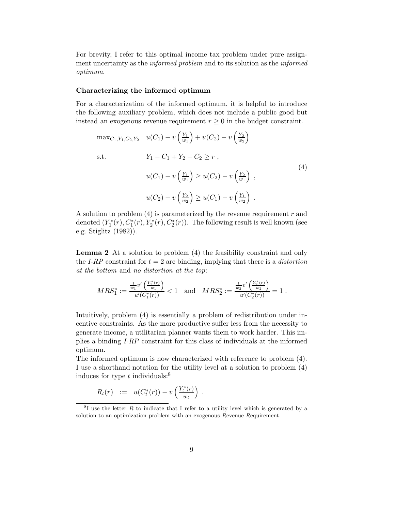For brevity, I refer to this optimal income tax problem under pure assignment uncertainty as the *informed problem* and to its solution as the *informed* optimum.

#### Characterizing the informed optimum

For a characterization of the informed optimum, it is helpful to introduce the following auxiliary problem, which does not include a public good but instead an exogenous revenue requirement  $r \geq 0$  in the budget constraint.

$$
\max_{C_1, Y_1, C_2, Y_2} \quad u(C_1) - v\left(\frac{Y_1}{w_1}\right) + u(C_2) - v\left(\frac{Y_2}{w_2}\right)
$$
\ns.t.

\n
$$
Y_1 - C_1 + Y_2 - C_2 \ge r,
$$
\n
$$
u(C_1) - v\left(\frac{Y_1}{w_1}\right) \ge u(C_2) - v\left(\frac{Y_2}{w_1}\right),
$$
\n
$$
u(C_2) - v\left(\frac{Y_2}{w_2}\right) \ge u(C_1) - v\left(\frac{Y_1}{w_2}\right).
$$
\n(4)

A solution to problem  $(4)$  is parameterized by the revenue requirement r and denoted  $(Y_1^*(r), C_1^*(r), Y_2^*(r), C_2^*(r))$ . The following result is well known (see e.g. Stiglitz (1982)).

Lemma 2 At a solution to problem (4) the feasibility constraint and only the I-RP constraint for  $t = 2$  are binding, implying that there is a *distortion* at the bottom and no distortion at the top:

$$
MRS_1^* := \frac{\frac{1}{w_1}v'\left(\frac{Y_1^*(r)}{w_1}\right)}{u'(C_1^*(r))} < 1 \quad \text{and} \quad MRS_2^* := \frac{\frac{1}{w_2}v'\left(\frac{Y_2^*(r)}{w_2}\right)}{u'(C_2^*(r))} = 1 \ .
$$

Intuitively, problem (4) is essentially a problem of redistribution under incentive constraints. As the more productive suffer less from the necessity to generate income, a utilitarian planner wants them to work harder. This implies a binding I-RP constraint for this class of individuals at the informed optimum.

The informed optimum is now characterized with reference to problem (4). I use a shorthand notation for the utility level at a solution to problem (4) induces for type  $t$  individuals:<sup>8</sup>

$$
R_t(r) \quad := \quad u(C_t^*(r)) - v\left(\frac{Y_t^*(r)}{w_t}\right)
$$

.

 ${}^{8}$ I use the letter R to indicate that I refer to a utility level which is generated by a solution to an optimization problem with an exogenous Revenue Requirement.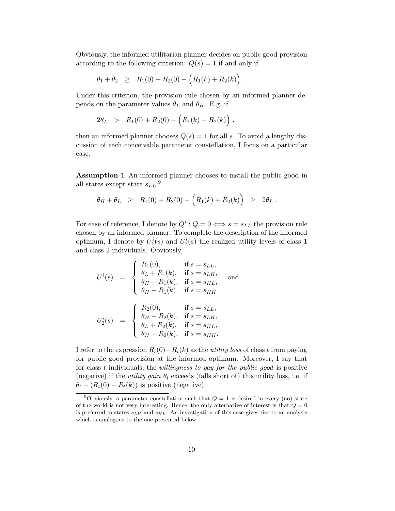Obviously, the informed utilitarian planner decides on public good provision according to the following criterion:  $Q(s) = 1$  if and only if

$$
\theta_1 + \theta_2 \geq R_1(0) + R_2(0) - (R_1(k) + R_2(k)).
$$

Under this criterion, the provision rule chosen by an informed planner depends on the parameter values  $\theta_L$  and  $\theta_H$ . E.g. if

$$
2\theta_L > R_1(0) + R_2(0) - (R_1(k) + R_2(k)),
$$

then an informed planner chooses  $Q(s) = 1$  for all s. To avoid a lengthy discussion of each conceivable parameter constellation, I focus on a particular case.

Assumption 1 An informed planner chooses to install the public good in all states except state  $s_{LL}$ :<sup>9</sup>

$$
\theta_H + \theta_L \geq R_1(0) + R_2(0) - (R_1(k) + R_2(k)) \geq 2\theta_L.
$$

For ease of reference, I denote by  $Q^i$  :  $Q = 0 \iff s = s_{LL}$  the provision rule chosen by an informed planner. To complete the description of the informed optimum, I denote by  $U_1^i(s)$  and  $U_2^i(s)$  the realized utility levels of class 1 and class 2 individuals. Obviously,

$$
U_1^i(s) = \begin{cases} R_1(0), & \text{if } s = s_{LL}, \\ \theta_L + R_1(k), & \text{if } s = s_{LH}, \\ \theta_H + R_1(k), & \text{if } s = s_{HL}, \\ \theta_H + R_1(k), & \text{if } s = s_{HH} \end{cases}
$$
 and  

$$
U_2^i(s) = \begin{cases} R_2(0), & \text{if } s = s_{LL}, \\ \theta_H + R_2(k), & \text{if } s = s_{LH}, \\ \theta_L + R_2(k), & \text{if } s = s_{HL}, \\ \theta_H + R_2(k), & \text{if } s = s_{HH}. \end{cases}
$$

I refer to the expression  $R_t(0) - R_t(k)$  as the *utility loss* of class t from paying for public good provision at the informed optimum. Moreover, I say that for class t individuals, the *willingness to pay for the public good* is positive (negative) if the *utility gain*  $\theta_t$  exceeds (falls short of) this utility loss, i.e. if  $\theta_t - (R_t(0) - R_t(k))$  is positive (negative).

<sup>&</sup>lt;sup>9</sup>Obviously, a parameter constellation such that  $Q = 1$  is desired in every (no) state of the world is not very interesting. Hence, the only alternative of interest is that  $Q = 0$ is preferred in states  $s_{LH}$  and  $s_{HL}$ . An investigation of this case gives rise to an analysis which is analogous to the one presented below.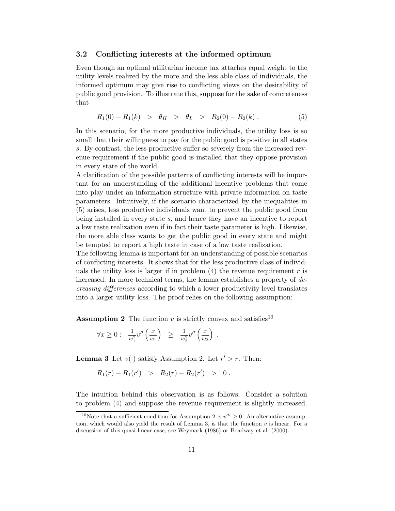#### 3.2 Conflicting interests at the informed optimum

Even though an optimal utilitarian income tax attaches equal weight to the utility levels realized by the more and the less able class of individuals, the informed optimum may give rise to conflicting views on the desirability of public good provision. To illustrate this, suppose for the sake of concreteness that

$$
R_1(0) - R_1(k) > \theta_H > \theta_L > R_2(0) - R_2(k). \tag{5}
$$

In this scenario, for the more productive individuals, the utility loss is so small that their willingness to pay for the public good is positive in all states s. By contrast, the less productive suffer so severely from the increased revenue requirement if the public good is installed that they oppose provision in every state of the world.

A clarification of the possible patterns of conflicting interests will be important for an understanding of the additional incentive problems that come into play under an information structure with private information on taste parameters. Intuitively, if the scenario characterized by the inequalities in (5) arises, less productive individuals want to prevent the public good from being installed in every state s, and hence they have an incentive to report a low taste realization even if in fact their taste parameter is high. Likewise, the more able class wants to get the public good in every state and might be tempted to report a high taste in case of a low taste realization.

The following lemma is important for an understanding of possible scenarios of conflicting interests. It shows that for the less productive class of individuals the utility loss is larger if in problem  $(4)$  the revenue requirement r is increased. In more technical terms, the lemma establishes a property of decreasing differences according to which a lower productivity level translates into a larger utility loss. The proof relies on the following assumption:

**Assumption 2** The function v is strictly convex and satisfies<sup>10</sup>

$$
\forall x \geq 0: \frac{1}{w_1^2} v''\left(\frac{x}{w_1}\right) \geq \frac{1}{w_2^2} v''\left(\frac{x}{w_2}\right).
$$

**Lemma 3** Let  $v(\cdot)$  satisfy Assumption 2. Let  $r' > r$ . Then:

$$
R_1(r) - R_1(r') > R_2(r) - R_2(r') > 0.
$$

The intuition behind this observation is as follows: Consider a solution to problem (4) and suppose the revenue requirement is slightly increased.

<sup>&</sup>lt;sup>10</sup>Note that a sufficient condition for Assumption 2 is  $v''' \ge 0$ . An alternative assumption, which would also yield the result of Lemma 3, is that the function  $v$  is linear. For a discussion of this quasi-linear case, see Weymark (1986) or Boadway et al. (2000).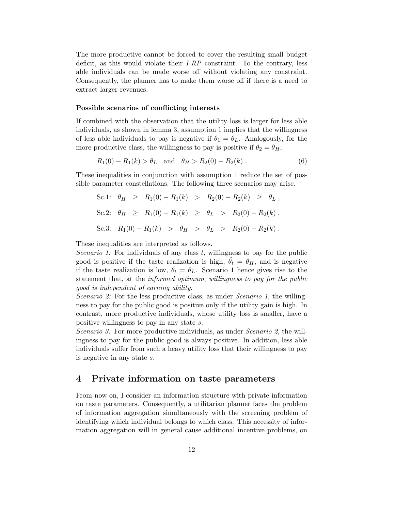The more productive cannot be forced to cover the resulting small budget deficit, as this would violate their  $I-RP$  constraint. To the contrary, less able individuals can be made worse off without violating any constraint. Consequently, the planner has to make them worse off if there is a need to extract larger revenues.

#### Possible scenarios of conflicting interests

If combined with the observation that the utility loss is larger for less able individuals, as shown in lemma 3, assumption 1 implies that the willingness of less able individuals to pay is negative if  $\theta_1 = \theta_L$ . Analogously, for the more productive class, the willingness to pay is positive if  $\theta_2 = \theta_H$ ,

$$
R_1(0) - R_1(k) > \theta_L
$$
 and  $\theta_H > R_2(0) - R_2(k)$ . (6)

These inequalities in conjunction with assumption 1 reduce the set of possible parameter constellations. The following three scenarios may arise.

$$
Sc.1: \theta_H \ge R_1(0) - R_1(k) > R_2(0) - R_2(k) \ge \theta_L,
$$
  
\n
$$
Sc.2: \theta_H \ge R_1(0) - R_1(k) \ge \theta_L > R_2(0) - R_2(k),
$$
  
\n
$$
Sc.3: R_1(0) - R_1(k) > \theta_H > \theta_L > R_2(0) - R_2(k).
$$

These inequalities are interpreted as follows.

Scenario 1: For individuals of any class  $t$ , willingness to pay for the public good is positive if the taste realization is high,  $\theta_t = \theta_H$ , and is negative if the taste realization is low,  $\ddot{\theta}_t = \theta_L$ . Scenario 1 hence gives rise to the statement that, at the *informed optimum*, willingness to pay for the public good is independent of earning ability.

Scenario 2: For the less productive class, as under Scenario 1, the willingness to pay for the public good is positive only if the utility gain is high. In contrast, more productive individuals, whose utility loss is smaller, have a positive willingness to pay in any state s.

Scenario 3: For more productive individuals, as under Scenario 2, the willingness to pay for the public good is always positive. In addition, less able individuals suffer from such a heavy utility loss that their willingness to pay is negative in any state s.

## 4 Private information on taste parameters

From now on, I consider an information structure with private information on taste parameters. Consequently, a utilitarian planner faces the problem of information aggregation simultaneously with the screening problem of identifying which individual belongs to which class. This necessity of information aggregation will in general cause additional incentive problems, on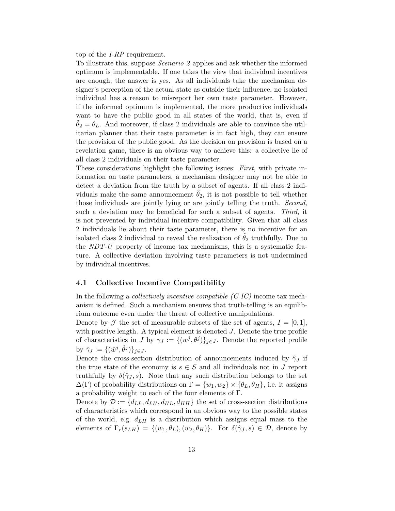top of the I-RP requirement.

To illustrate this, suppose Scenario 2 applies and ask whether the informed optimum is implementable. If one takes the view that individual incentives are enough, the answer is yes. As all individuals take the mechanism designer's perception of the actual state as outside their influence, no isolated individual has a reason to misreport her own taste parameter. However, if the informed optimum is implemented, the more productive individuals want to have the public good in all states of the world, that is, even if  $\theta_2 = \theta_L$ . And moreover, if class 2 individuals are able to convince the utilitarian planner that their taste parameter is in fact high, they can ensure the provision of the public good. As the decision on provision is based on a revelation game, there is an obvious way to achieve this: a collective lie of all class 2 individuals on their taste parameter.

These considerations highlight the following issues: First, with private information on taste parameters, a mechanism designer may not be able to detect a deviation from the truth by a subset of agents. If all class 2 individuals make the same announcement  $\hat{\theta}_2$ , it is not possible to tell whether those individuals are jointly lying or are jointly telling the truth. Second, such a deviation may be beneficial for such a subset of agents. Third, it is not prevented by individual incentive compatibility. Given that all class 2 individuals lie about their taste parameter, there is no incentive for an isolated class 2 individual to reveal the realization of  $\theta_2$  truthfully. Due to the NDT-U property of income tax mechanisms, this is a systematic feature. A collective deviation involving taste parameters is not undermined by individual incentives.

#### 4.1 Collective Incentive Compatibility

In the following a *collectively incentive compatible*  $(C$ *-IC*) income tax mechanism is defined. Such a mechanism ensures that truth-telling is an equilibrium outcome even under the threat of collective manipulations.

Denote by  $\mathcal J$  the set of measurable subsets of the set of agents,  $I = [0, 1]$ , with positive length. A typical element is denoted  $J$ . Denote the true profile of characteristics in J by  $\gamma_J := \{ (w^j, \theta^j) \}_{j \in J}$ . Denote the reported profile by  $\hat{\gamma}_J := \{(\hat{w}^j, \hat{\theta}^j)\}_{j \in J}.$ 

Denote the cross-section distribution of announcements induced by  $\hat{\gamma}_J$  if the true state of the economy is  $s \in S$  and all individuals not in J report truthfully by  $\delta(\hat{\gamma}_J, s)$ . Note that any such distribution belongs to the set  $\Delta(\Gamma)$  of probability distributions on  $\Gamma = \{w_1, w_2\} \times \{\theta_L, \theta_H\}$ , i.e. it assigns a probability weight to each of the four elements of Γ.

Denote by  $\mathcal{D} := \{d_{LL}, d_{LH}, d_{HL}, d_{HH}\}\$ the set of cross-section distributions of characteristics which correspond in an obvious way to the possible states of the world, e.g.  $d_{LH}$  is a distribution which assigns equal mass to the elements of  $\Gamma_r(s_{LH}) = \{(w_1, \theta_L), (w_2, \theta_H)\}\.$  For  $\delta(\hat{\gamma}_J, s) \in \mathcal{D}$ , denote by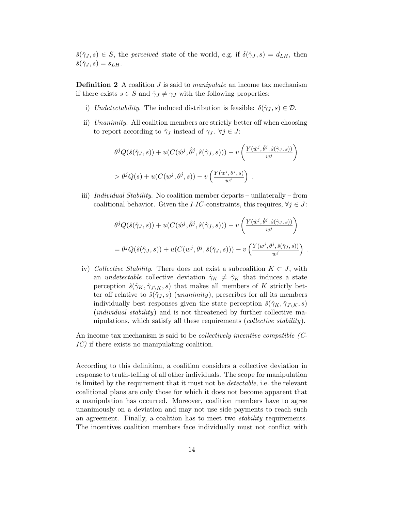$\hat{s}(\hat{\gamma}_J, s) \in S$ , the *perceived* state of the world, e.g. if  $\delta(\hat{\gamma}_J, s) = d_{LH}$ , then  $\hat{s}(\hat{\gamma}_J, s) = s_{LH}.$ 

**Definition 2** A coalition  $J$  is said to *manipulate* an income tax mechanism if there exists  $s \in S$  and  $\hat{\gamma}_J \neq \gamma_J$  with the following properties:

- i) Undetectability. The induced distribution is feasible:  $\delta(\hat{\gamma}_J, s) \in \mathcal{D}$ .
- ii) Unanimity. All coalition members are strictly better off when choosing to report according to  $\hat{\gamma}_J$  instead of  $\gamma_J$ .  $\forall j \in J$ :

$$
\theta^{j} Q(\hat{s}(\hat{\gamma}_{J}, s)) + u(C(\hat{w}^{j}, \hat{\theta}^{j}, \hat{s}(\hat{\gamma}_{J}, s))) - v\left(\frac{Y(\hat{w}^{j}, \hat{\theta}^{j}, \hat{s}(\hat{\gamma}_{J}, s))}{w^{j}}\right)
$$
  
> 
$$
\theta^{j} Q(s) + u(C(w^{j}, \theta^{j}, s)) - v\left(\frac{Y(w^{j}, \theta^{j}, s)}{w^{j}}\right).
$$

iii) Individual Stability. No coalition member departs – unilaterally – from coalitional behavior. Given the *I-IC*-constraints, this requires,  $\forall j \in J$ :

$$
\theta^{j} Q(\hat{s}(\hat{\gamma}_{J}, s)) + u(C(\hat{w}^{j}, \hat{\theta}^{j}, \hat{s}(\hat{\gamma}_{J}, s))) - v\left(\frac{Y(\hat{w}^{j}, \hat{\theta}^{j}, \hat{s}(\hat{\gamma}_{J}, s))}{w^{j}}\right)
$$
  
= 
$$
\theta^{j} Q(\hat{s}(\hat{\gamma}_{J}, s)) + u(C(w^{j}, \theta^{j}, \hat{s}(\hat{\gamma}_{J}, s))) - v\left(\frac{Y(w^{j}, \theta^{j}, \hat{s}(\hat{\gamma}_{J}, s))}{w^{j}}\right).
$$

iv) Collective Stability. There does not exist a subcoalition  $K \subset J$ , with an *undetectable* collective deviation  $\tilde{\gamma}_K \neq \tilde{\gamma}_K$  that induces a state perception  $\hat{s}(\tilde{\gamma}_K, \hat{\gamma}_{J\setminus K}, s)$  that makes all members of K strictly better off relative to  $\hat{s}(\hat{\gamma}_J, s)$  (*unanimity*), prescribes for all its members individually best responses given the state perception  $\hat{s}(\tilde{\gamma}_K, \hat{\gamma}_{J\setminus K}, s)$ (*individual stability*) and is not threatened by further collective manipulations, which satisfy all these requirements (collective stability).

An income tax mechanism is said to be *collectively incentive compatible (C*-IC) if there exists no manipulating coalition.

According to this definition, a coalition considers a collective deviation in response to truth-telling of all other individuals. The scope for manipulation is limited by the requirement that it must not be detectable, i.e. the relevant coalitional plans are only those for which it does not become apparent that a manipulation has occurred. Moreover, coalition members have to agree unanimously on a deviation and may not use side payments to reach such an agreement. Finally, a coalition has to meet two *stability* requirements. The incentives coalition members face individually must not conflict with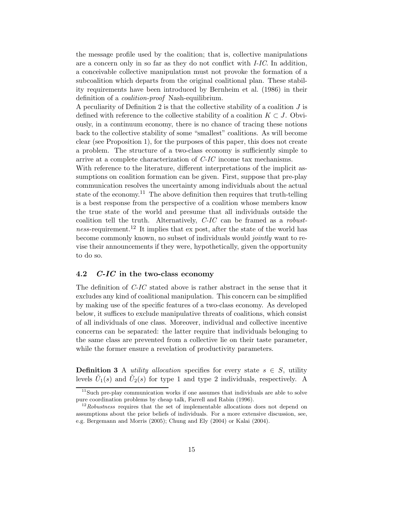the message profile used by the coalition; that is, collective manipulations are a concern only in so far as they do not conflict with I-IC. In addition, a conceivable collective manipulation must not provoke the formation of a subcoalition which departs from the original coalitional plan. These stability requirements have been introduced by Bernheim et al. (1986) in their definition of a coalition-proof Nash-equilibrium.

A peculiarity of Definition 2 is that the collective stability of a coalition  $J$  is defined with reference to the collective stability of a coalition  $K \subset J$ . Obviously, in a continuum economy, there is no chance of tracing these notions back to the collective stability of some "smallest" coalitions. As will become clear (see Proposition 1), for the purposes of this paper, this does not create a problem. The structure of a two-class economy is sufficiently simple to arrive at a complete characterization of  $C$ - $IC$  income tax mechanisms.

With reference to the literature, different interpretations of the implicit assumptions on coalition formation can be given. First, suppose that pre-play communication resolves the uncertainty among individuals about the actual state of the economy.<sup>11</sup> The above definition then requires that truth-telling is a best response from the perspective of a coalition whose members know the true state of the world and presume that all individuals outside the coalition tell the truth. Alternatively, C-IC can be framed as a robustness-requirement.<sup>12</sup> It implies that ex post, after the state of the world has become commonly known, no subset of individuals would *jointly* want to revise their announcements if they were, hypothetically, given the opportunity to do so.

#### 4.2  $C$ -IC in the two-class economy

The definition of C-IC stated above is rather abstract in the sense that it excludes any kind of coalitional manipulation. This concern can be simplified by making use of the specific features of a two-class economy. As developed below, it suffices to exclude manipulative threats of coalitions, which consist of all individuals of one class. Moreover, individual and collective incentive concerns can be separated: the latter require that individuals belonging to the same class are prevented from a collective lie on their taste parameter, while the former ensure a revelation of productivity parameters.

**Definition 3** A *utility allocation* specifies for every state  $s \in S$ , utility levels  $\tilde{U}_1(s)$  and  $\tilde{U}_2(s)$  for type 1 and type 2 individuals, respectively. A

 $11$ Such pre-play communication works if one assumes that individuals are able to solve pure coordination problems by cheap talk, Farrell and Rabin (1996).

 $12Robustness$  requires that the set of implementable allocations does not depend on assumptions about the prior beliefs of individuals. For a more extensive discussion, see, e.g. Bergemann and Morris (2005); Chung and Ely (2004) or Kalai (2004).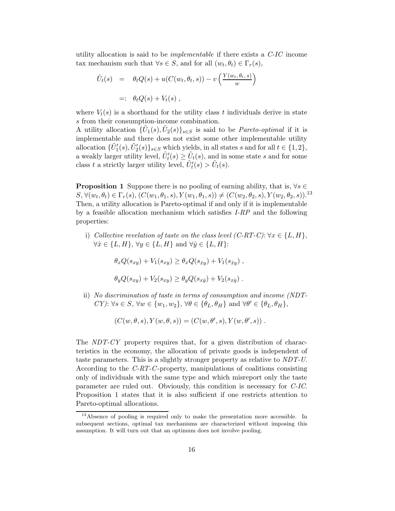utility allocation is said to be *implementable* if there exists a  $C$ - $IC$  income tax mechanism such that  $\forall s \in S$ , and for all  $(w_t, \theta_t) \in \Gamma_r(s)$ ,

$$
\tilde{U}_t(s) = \theta_t Q(s) + u(C(w_t, \theta_t, s)) - v\left(\frac{Y(w_t, \theta_t, s)}{w}\right)
$$
  
=:  $\theta_t Q(s) + V_t(s)$ ,

where  $V_t(s)$  is a shorthand for the utility class t individuals derive in state s from their consumption-income combination.

A utility allocation  $\{\tilde{U}_1(s), \tilde{U}_2(s)\}_{s \in S}$  is said to be *Pareto-optimal* if it is implementable and there does not exist some other implementable utility allocation  $\{\tilde{U}'_1(s), \tilde{U}'_2(s)\}_{s\in S}$  which yields, in all states s and for all  $t \in \{1, 2\}$ , a weakly larger utility level,  $\tilde{U}'_t(s) \geq \tilde{U}_t(s)$ , and in some state s and for some class t a strictly larger utility level,  $\tilde{U}'_t(s) > \tilde{U}_t(s)$ .

**Proposition 1** Suppose there is no pooling of earning ability, that is,  $\forall s \in$  $S, \forall (w_t, \theta_t) \in \Gamma_r(s), (C(w_1, \theta_1, s), Y(w_1, \theta_1, s)) \neq (C(w_2, \theta_2, s), Y(w_2, \theta_2, s))$ .<sup>13</sup> Then, a utility allocation is Pareto-optimal if and only if it is implementable by a feasible allocation mechanism which satisfies  $I-RP$  and the following properties:

i) Collective revelation of taste on the class level  $(C-RT-C): \forall x \in \{L, H\},\$  $\forall \hat{x} \in \{L, H\}, \forall y \in \{L, H\} \text{ and } \forall \hat{y} \in \{L, H\}$ :

$$
\theta_x Q(s_{xy}) + V_1(s_{xy}) \ge \theta_x Q(s_{\hat{xy}}) + V_1(s_{\hat{xy}}),
$$

$$
\theta_y Q(s_{xy}) + V_2(s_{xy}) \ge \theta_y Q(s_{x\hat{y}}) + V_2(s_{x\hat{y}}).
$$

ii) No discrimination of taste in terms of consumption and income (NDT-CY):  $\forall s \in S, \forall w \in \{w_1, w_2\}, \forall \theta \in \{\theta_L, \theta_H\} \text{ and } \forall \theta' \in \{\theta_L, \theta_H\},\$ 

$$
(C(w, \theta, s), Y(w, \theta, s)) = (C(w, \theta', s), Y(w, \theta', s))
$$
.

The NDT-CY property requires that, for a given distribution of characteristics in the economy, the allocation of private goods is independent of taste parameters. This is a slightly stronger property as relative to NDT-U. According to the C-RT-C-property, manipulations of coalitions consisting only of individuals with the same type and which misreport only the taste parameter are ruled out. Obviously, this condition is necessary for C-IC. Proposition 1 states that it is also sufficient if one restricts attention to Pareto-optimal allocations.

<sup>&</sup>lt;sup>13</sup>Absence of pooling is required only to make the presentation more accessible. In subsequent sections, optimal tax mechanisms are characterized without imposing this assumption. It will turn out that an optimum does not involve pooling.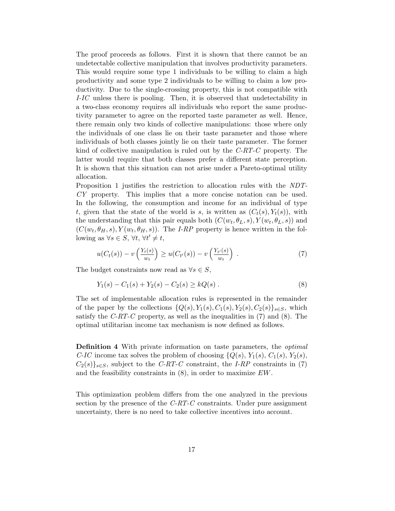The proof proceeds as follows. First it is shown that there cannot be an undetectable collective manipulation that involves productivity parameters. This would require some type 1 individuals to be willing to claim a high productivity and some type 2 individuals to be willing to claim a low productivity. Due to the single-crossing property, this is not compatible with I-IC unless there is pooling. Then, it is observed that undetectability in a two-class economy requires all individuals who report the same productivity parameter to agree on the reported taste parameter as well. Hence, there remain only two kinds of collective manipulations: those where only the individuals of one class lie on their taste parameter and those where individuals of both classes jointly lie on their taste parameter. The former kind of collective manipulation is ruled out by the C-RT-C property. The latter would require that both classes prefer a different state perception. It is shown that this situation can not arise under a Pareto-optimal utility allocation.

Proposition 1 justifies the restriction to allocation rules with the NDT-CY property. This implies that a more concise notation can be used. In the following, the consumption and income for an individual of type t, given that the state of the world is s, is written as  $(C_t(s), Y_t(s))$ , with the understanding that this pair equals both  $(C(w_t, \theta_L, s), Y(w_t, \theta_L, s))$  and  $(C(w_t, \theta_H, s), Y(w_t, \theta_H, s))$ . The *I-RP* property is hence written in the following as  $\forall s \in S, \forall t, \forall t' \neq t$ ,

$$
u(C_t(s)) - v\left(\frac{Y_t(s)}{w_t}\right) \ge u(C_{t'}(s)) - v\left(\frac{Y_{t'}(s)}{w_t}\right) . \tag{7}
$$

The budget constraints now read as  $\forall s \in S$ ,

$$
Y_1(s) - C_1(s) + Y_2(s) - C_2(s) \ge kQ(s) . \tag{8}
$$

The set of implementable allocation rules is represented in the remainder of the paper by the collections  $\{Q(s), Y_1(s), C_1(s), Y_2(s), C_2(s)\}_{s\in S}$ , which satisfy the  $C-RT-C$  property, as well as the inequalities in (7) and (8). The optimal utilitarian income tax mechanism is now defined as follows.

Definition 4 With private information on taste parameters, the optimal C-IC income tax solves the problem of choosing  $\{Q(s), Y_1(s), C_1(s), Y_2(s),$  $C_2(s)$ <sub>s∈S</sub>, subject to the *C-RT-C* constraint, the *I-RP* constraints in (7) and the feasibility constraints in  $(8)$ , in order to maximize  $EW$ .

This optimization problem differs from the one analyzed in the previous section by the presence of the  $C-RT-C$  constraints. Under pure assignment uncertainty, there is no need to take collective incentives into account.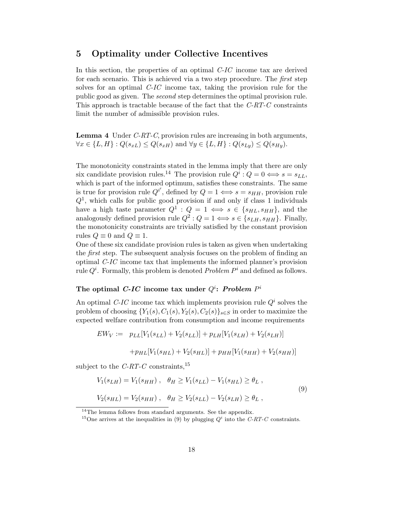## 5 Optimality under Collective Incentives

In this section, the properties of an optimal C-IC income tax are derived for each scenario. This is achieved via a two step procedure. The first step solves for an optimal C-IC income tax, taking the provision rule for the public good as given. The second step determines the optimal provision rule. This approach is tractable because of the fact that the  $C-RT-C$  constraints limit the number of admissible provision rules.

Lemma 4 Under C-RT-C, provision rules are increasing in both arguments,  $\forall x \in \{L, H\} : Q(s_{xL}) \leq Q(s_{xH})$  and  $\forall y \in \{L, H\} : Q(s_{Ly}) \leq Q(s_{Hy}).$ 

The monotonicity constraints stated in the lemma imply that there are only six candidate provision rules.<sup>14</sup> The provision rule  $Q^i$ :  $Q = 0 \Longleftrightarrow s = s_{LL}$ , which is part of the informed optimum, satisfies these constraints. The same is true for provision rule  $Q^{i'}$ , defined by  $Q = 1 \Longleftrightarrow s = s_{HH}$ , provision rule  $Q<sup>1</sup>$ , which calls for public good provision if and only if class 1 individuals have a high taste parameter  $Q^1$ :  $Q = 1 \iff s \in \{s_{HL}, s_{HH}\}\text{, and the}$ analogously defined provision rule  $Q^2$ :  $Q = 1 \Longleftrightarrow s \in \{s_{LH}, s_{HH}\}\.$  Finally, the monotonicity constraints are trivially satisfied by the constant provision rules  $Q \equiv 0$  and  $Q \equiv 1$ .

One of these six candidate provision rules is taken as given when undertaking the *first* step. The subsequent analysis focuses on the problem of finding an optimal C-IC income tax that implements the informed planner's provision rule  $Q^i$ . Formally, this problem is denoted *Problem P*<sup>*i*</sup> and defined as follows.

## The optimal C-IC income tax under  $Q^i$ : Problem  $P^i$

An optimal C-IC income tax which implements provision rule  $Q<sup>i</sup>$  solves the problem of choosing  ${Y_1(s), C_1(s), Y_2(s), C_2(s)}_{s \in S}$  in order to maximize the expected welfare contribution from consumption and income requirements

$$
EW_V := p_{LL}[V_1(s_{LL}) + V_2(s_{LL})] + p_{LH}[V_1(s_{LH}) + V_2(s_{LH})]
$$

$$
+ p_{HL}[V_1(s_{HL}) + V_2(s_{HL})] + p_{HH}[V_1(s_{HH}) + V_2(s_{HH})]
$$

subject to the  $C-RT-C$  constraints,<sup>15</sup>

$$
V_1(s_{LH}) = V_1(s_{HH}), \quad \theta_H \ge V_1(s_{LL}) - V_1(s_{HL}) \ge \theta_L,
$$
  

$$
V_2(s_{HL}) = V_2(s_{HH}), \quad \theta_H \ge V_2(s_{LL}) - V_2(s_{LH}) \ge \theta_L,
$$
 (9)

<sup>&</sup>lt;sup>14</sup>The lemma follows from standard arguments. See the appendix.

<sup>&</sup>lt;sup>15</sup>One arrives at the inequalities in (9) by plugging  $Q<sup>i</sup>$  into the C-RT-C constraints.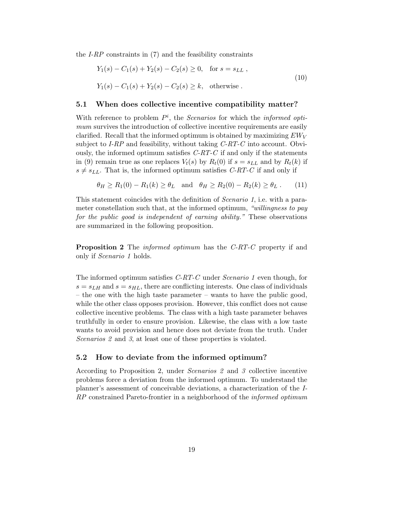the  $I-RP$  constraints in  $(7)$  and the feasibility constraints

$$
Y_1(s) - C_1(s) + Y_2(s) - C_2(s) \ge 0, \text{ for } s = s_{LL},
$$
  
\n
$$
Y_1(s) - C_1(s) + Y_2(s) - C_2(s) \ge k, \text{ otherwise.}
$$
\n(10)

#### 5.1 When does collective incentive compatibility matter?

With reference to problem  $P^i$ , the *Scenarios* for which the *informed opti*mum survives the introduction of collective incentive requirements are easily clarified. Recall that the informed optimum is obtained by maximizing  $EW_V$ subject to  $I-RP$  and feasibility, without taking  $C-RT-C$  into account. Obviously, the informed optimum satisfies  $C-RT-C$  if and only if the statements in (9) remain true as one replaces  $V_t(s)$  by  $R_t(0)$  if  $s = s_{LL}$  and by  $R_t(k)$  if  $s \neq s_{LL}$ . That is, the informed optimum satisfies C-RT-C if and only if

$$
\theta_H \ge R_1(0) - R_1(k) \ge \theta_L \quad \text{and} \quad \theta_H \ge R_2(0) - R_2(k) \ge \theta_L \,. \tag{11}
$$

This statement coincides with the definition of Scenario 1, i.e. with a parameter constellation such that, at the informed optimum, "willingness to pay for the public good is independent of earning ability." These observations are summarized in the following proposition.

**Proposition 2** The *informed optimum* has the C-RT-C property if and only if Scenario 1 holds.

The informed optimum satisfies C-RT-C under Scenario 1 even though, for  $s = s_{LH}$  and  $s = s_{HL}$ , there are conflicting interests. One class of individuals – the one with the high taste parameter – wants to have the public good, while the other class opposes provision. However, this conflict does not cause collective incentive problems. The class with a high taste parameter behaves truthfully in order to ensure provision. Likewise, the class with a low taste wants to avoid provision and hence does not deviate from the truth. Under Scenarios 2 and 3, at least one of these properties is violated.

#### 5.2 How to deviate from the informed optimum?

According to Proposition 2, under Scenarios 2 and 3 collective incentive problems force a deviation from the informed optimum. To understand the planner's assessment of conceivable deviations, a characterization of the I-RP constrained Pareto-frontier in a neighborhood of the *informed optimum*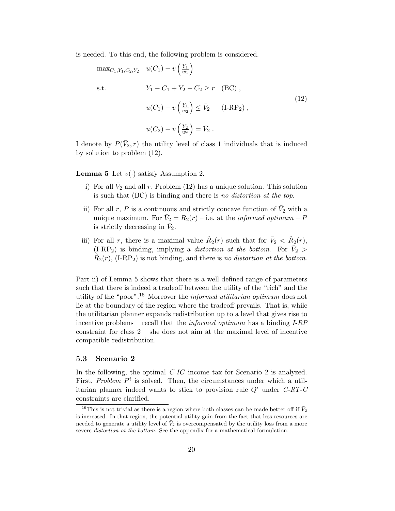is needed. To this end, the following problem is considered.

$$
\max_{C_1, Y_1, C_2, Y_2} u(C_1) - v\left(\frac{Y_1}{w_1}\right)
$$
\ns.t.

\n
$$
Y_1 - C_1 + Y_2 - C_2 \ge r \quad (BC),
$$
\n
$$
u(C_1) - v\left(\frac{Y_1}{w_2}\right) \le \bar{V}_2 \quad (I-RP_2),
$$
\n
$$
u(C_2) - v\left(\frac{Y_2}{w_2}\right) = \bar{V}_2.
$$
\n(12)

I denote by  $P(\bar{V}_2, r)$  the utility level of class 1 individuals that is induced by solution to problem (12).

**Lemma 5** Let  $v(\cdot)$  satisfy Assumption 2.

- i) For all  $\bar{V}_2$  and all r, Problem (12) has a unique solution. This solution is such that (BC) is binding and there is no distortion at the top.
- ii) For all r, P is a continuous and strictly concave function of  $\bar{V}_2$  with a unique maximum. For  $\bar{V}_2 = R_2(r) -$  i.e. at the *informed optimum – P* is strictly decreasing in  $\bar{V}_2$ .
- iii) For all r, there is a maximal value  $\hat{R}_2(r)$  such that for  $\bar{V}_2 < \hat{R}_2(r)$ ,  $(IRP<sub>2</sub>)$  is binding, implying a *distortion at the bottom*. For  $\bar{V}_2$  $\hat{R}_2(r)$ , (I-RP<sub>2</sub>) is not binding, and there is no distortion at the bottom.

Part ii) of Lemma 5 shows that there is a well defined range of parameters such that there is indeed a tradeoff between the utility of the "rich" and the utility of the "poor".<sup>16</sup> Moreover the *informed utilitarian optimum* does not lie at the boundary of the region where the tradeoff prevails. That is, while the utilitarian planner expands redistribution up to a level that gives rise to incentive problems – recall that the informed optimum has a binding I-RP constraint for class 2 – she does not aim at the maximal level of incentive compatible redistribution.

#### 5.3 Scenario 2

In the following, the optimal C-IC income tax for Scenario 2 is analyzed. First, Problem  $P^i$  is solved. Then, the circumstances under which a utilitarian planner indeed wants to stick to provision rule  $Q<sup>i</sup>$  under C-RT-C constraints are clarified.

<sup>&</sup>lt;sup>16</sup>This is not trivial as there is a region where both classes can be made better off if  $\bar{V}_2$ is increased. In that region, the potential utility gain from the fact that less resources are needed to generate a utility level of  $\bar{V}_2$  is overcompensated by the utility loss from a more severe *distortion at the bottom*. See the appendix for a mathematical formulation.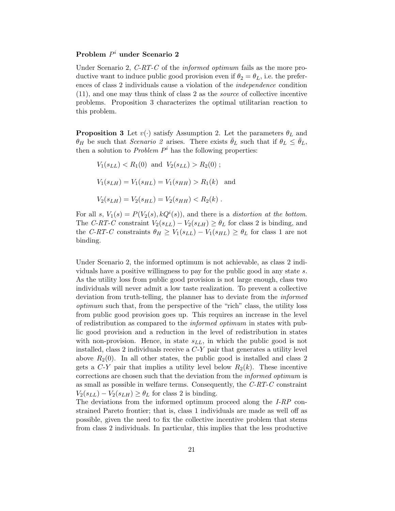## Problem  $P^i$  under Scenario 2

Under Scenario 2, C-RT-C of the informed optimum fails as the more productive want to induce public good provision even if  $\theta_2 = \theta_L$ , i.e. the preferences of class 2 individuals cause a violation of the independence condition (11), and one may thus think of class 2 as the source of collective incentive problems. Proposition 3 characterizes the optimal utilitarian reaction to this problem.

**Proposition 3** Let  $v(\cdot)$  satisfy Assumption 2. Let the parameters  $\theta_L$  and  $\theta_H$  be such that Scenario 2 arises. There exists  $\bar{\theta}_L$  such that if  $\theta_L \leq \bar{\theta}_L$ , then a solution to *Problem*  $P^i$  has the following properties:

$$
V_1(s_{LL}) < R_1(0)
$$
 and  $V_2(s_{LL}) > R_2(0)$ ;  
\n $V_1(s_{LH}) = V_1(s_{HL}) = V_1(s_{HH}) > R_1(k)$  and  
\n $V_2(s_{LH}) = V_2(s_{HL}) = V_2(s_{HH}) < R_2(k)$ .

For all s,  $V_1(s) = P(V_2(s), kQ^i(s))$ , and there is a distortion at the bottom. The C-RT-C constraint  $V_2(s_{LL}) - V_2(s_{LH}) \geq \theta_L$  for class 2 is binding, and the C-RT-C constraints  $\theta_H \ge V_1(s_{LL}) - V_1(s_{HL}) \ge \theta_L$  for class 1 are not binding.

Under Scenario 2, the informed optimum is not achievable, as class 2 individuals have a positive willingness to pay for the public good in any state s. As the utility loss from public good provision is not large enough, class two individuals will never admit a low taste realization. To prevent a collective deviation from truth-telling, the planner has to deviate from the informed optimum such that, from the perspective of the "rich" class, the utility loss from public good provision goes up. This requires an increase in the level of redistribution as compared to the informed optimum in states with public good provision and a reduction in the level of redistribution in states with non-provision. Hence, in state  $s_{LL}$ , in which the public good is not installed, class 2 individuals receive a  $C-Y$  pair that generates a utility level above  $R_2(0)$ . In all other states, the public good is installed and class 2 gets a  $C-Y$  pair that implies a utility level below  $R_2(k)$ . These incentive corrections are chosen such that the deviation from the *informed optimum* is as small as possible in welfare terms. Consequently, the  $C-RT-C$  constraint  $V_2(s_{LL}) - V_2(s_{LH}) \ge \theta_L$  for class 2 is binding.

The deviations from the informed optimum proceed along the I-RP constrained Pareto frontier; that is, class 1 individuals are made as well off as possible, given the need to fix the collective incentive problem that stems from class 2 individuals. In particular, this implies that the less productive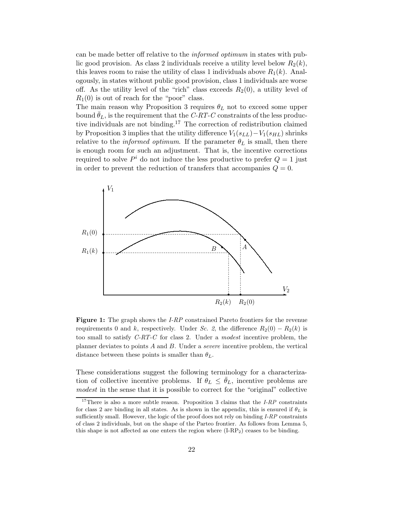can be made better off relative to the informed optimum in states with public good provision. As class 2 individuals receive a utility level below  $R_2(k)$ , this leaves room to raise the utility of class 1 individuals above  $R_1(k)$ . Analogously, in states without public good provision, class 1 individuals are worse off. As the utility level of the "rich" class exceeds  $R_2(0)$ , a utility level of  $R_1(0)$  is out of reach for the "poor" class.

The main reason why Proposition 3 requires  $\theta_L$  not to exceed some upper bound  $\bar{\theta}_L$ , is the requirement that the C-RT-C constraints of the less productive individuals are not binding.<sup>17</sup> The correction of redistribution claimed by Proposition 3 implies that the utility difference  $V_1(s_{LL})-V_1(s_{HL})$  shrinks relative to the *informed optimum*. If the parameter  $\theta_L$  is small, then there is enough room for such an adjustment. That is, the incentive corrections required to solve  $P^i$  do not induce the less productive to prefer  $Q = 1$  just in order to prevent the reduction of transfers that accompanies  $Q = 0$ .



Figure 1: The graph shows the *I-RP* constrained Pareto frontiers for the revenue requirements 0 and k, respectively. Under Sc. 2, the difference  $R_2(0) - R_2(k)$  is too small to satisfy  $C-RT-C$  for class 2. Under a modest incentive problem, the planner deviates to points A and B. Under a severe incentive problem, the vertical distance between these points is smaller than  $\theta_L$ .

These considerations suggest the following terminology for a characterization of collective incentive problems. If  $\theta_L \leq \theta_L$ , incentive problems are modest in the sense that it is possible to correct for the "original" collective

<sup>&</sup>lt;sup>17</sup>There is also a more subtle reason. Proposition 3 claims that the  $I-RP$  constraints for class 2 are binding in all states. As is shown in the appendix, this is ensured if  $\theta_L$  is sufficiently small. However, the logic of the proof does not rely on binding I-RP constraints of class 2 individuals, but on the shape of the Parteo frontier. As follows from Lemma 5, this shape is not affected as one enters the region where  $(I-RP_2)$  ceases to be binding.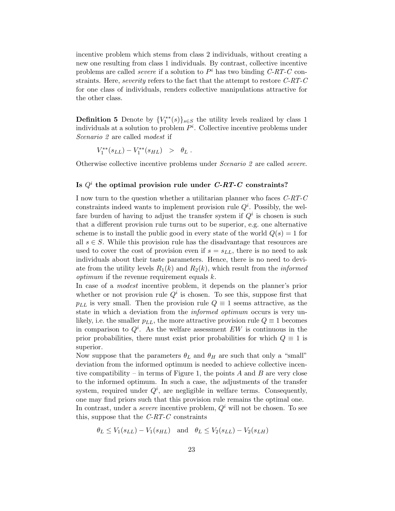incentive problem which stems from class 2 individuals, without creating a new one resulting from class 1 individuals. By contrast, collective incentive problems are called *severe* if a solution to  $P^i$  has two binding  $C\text{-}RT\text{-}C$  constraints. Here, severity refers to the fact that the attempt to restore C-RT-C for one class of individuals, renders collective manipulations attractive for the other class.

**Definition 5** Denote by  ${V_1^{**}(s)}_{s \in S}$  the utility levels realized by class 1 individuals at a solution to problem  $P^i$ . Collective incentive problems under Scenario 2 are called modest if

$$
V_1^{**}(s_{LL}) - V_1^{**}(s_{HL}) > \theta_L.
$$

Otherwise collective incentive problems under Scenario 2 are called severe.

## Is  $Q^i$  the optimal provision rule under  $\emph{C-RT-C}$  constraints?

I now turn to the question whether a utilitarian planner who faces C-RT-C constraints indeed wants to implement provision rule  $Q<sup>i</sup>$ . Possibly, the welfare burden of having to adjust the transfer system if  $Q<sup>i</sup>$  is chosen is such that a different provision rule turns out to be superior, e.g. one alternative scheme is to install the public good in every state of the world  $Q(s) = 1$  for all  $s \in S$ . While this provision rule has the disadvantage that resources are used to cover the cost of provision even if  $s = s_{LL}$ , there is no need to ask individuals about their taste parameters. Hence, there is no need to deviate from the utility levels  $R_1(k)$  and  $R_2(k)$ , which result from the *informed optimum* if the revenue requirement equals  $k$ .

In case of a modest incentive problem, it depends on the planner's prior whether or not provision rule  $Q<sup>i</sup>$  is chosen. To see this, suppose first that  $p_{LL}$  is very small. Then the provision rule  $Q \equiv 1$  seems attractive, as the state in which a deviation from the informed optimum occurs is very unlikely, i.e. the smaller  $p_{LL}$ , the more attractive provision rule  $Q \equiv 1$  becomes in comparison to  $Q^i$ . As the welfare assessment EW is continuous in the prior probabilities, there must exist prior probabilities for which  $Q \equiv 1$  is superior.

Now suppose that the parameters  $\theta_L$  and  $\theta_H$  are such that only a "small" deviation from the informed optimum is needed to achieve collective incentive compatibility – in terms of Figure 1, the points  $A$  and  $B$  are very close to the informed optimum. In such a case, the adjustments of the transfer system, required under  $Q^i$ , are negligible in welfare terms. Consequently, one may find priors such that this provision rule remains the optimal one.

In contrast, under a *severe* incentive problem,  $Q<sup>i</sup>$  will not be chosen. To see this, suppose that the  $C-RT-C$  constraints

 $\theta_L \leq V_1(s_{LL}) - V_1(s_{HL})$  and  $\theta_L \leq V_2(s_{LL}) - V_2(s_{LH})$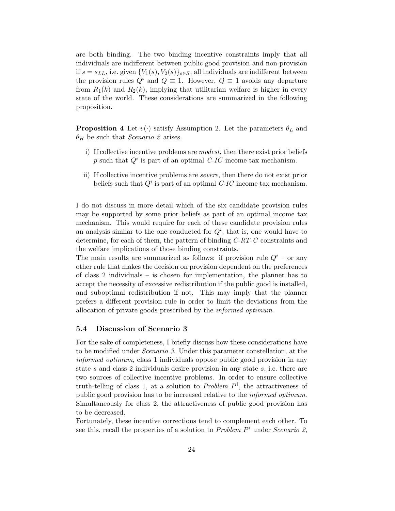are both binding. The two binding incentive constraints imply that all individuals are indifferent between public good provision and non-provision if  $s = s_{LL}$ , i.e. given  ${V_1(s), V_2(s)}_{s \in S}$ , all individuals are indifferent between the provision rules  $Q^i$  and  $Q \equiv 1$ . However,  $Q \equiv 1$  avoids any departure from  $R_1(k)$  and  $R_2(k)$ , implying that utilitarian welfare is higher in every state of the world. These considerations are summarized in the following proposition.

**Proposition 4** Let  $v(\cdot)$  satisfy Assumption 2. Let the parameters  $\theta_L$  and  $\theta_H$  be such that *Scenario 2* arises.

- i) If collective incentive problems are modest, then there exist prior beliefs p such that  $Q^i$  is part of an optimal C-IC income tax mechanism.
- ii) If collective incentive problems are severe, then there do not exist prior beliefs such that  $Q^i$  is part of an optimal C-IC income tax mechanism.

I do not discuss in more detail which of the six candidate provision rules may be supported by some prior beliefs as part of an optimal income tax mechanism. This would require for each of these candidate provision rules an analysis similar to the one conducted for  $Q^i$ ; that is, one would have to determine, for each of them, the pattern of binding C-RT-C constraints and the welfare implications of those binding constraints.

The main results are summarized as follows: if provision rule  $Q^{i}$  – or any other rule that makes the decision on provision dependent on the preferences of class 2 individuals – is chosen for implementation, the planner has to accept the necessity of excessive redistribution if the public good is installed, and suboptimal redistribution if not. This may imply that the planner prefers a different provision rule in order to limit the deviations from the allocation of private goods prescribed by the informed optimum.

#### 5.4 Discussion of Scenario 3

For the sake of completeness, I briefly discuss how these considerations have to be modified under Scenario 3. Under this parameter constellation, at the informed optimum, class 1 individuals oppose public good provision in any state s and class 2 individuals desire provision in any state s, i.e. there are two sources of collective incentive problems. In order to ensure collective truth-telling of class 1, at a solution to *Problem*  $P<sup>i</sup>$ , the attractiveness of public good provision has to be increased relative to the *informed optimum*. Simultaneously for class 2, the attractiveness of public good provision has to be decreased.

Fortunately, these incentive corrections tend to complement each other. To see this, recall the properties of a solution to  $Problem P<sup>i</sup>$  under *Scenario* 2,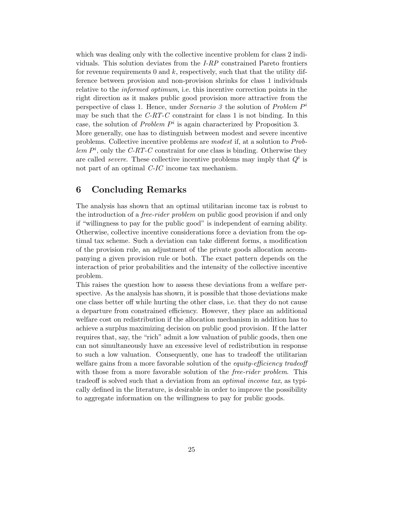which was dealing only with the collective incentive problem for class 2 individuals. This solution deviates from the I-RP constrained Pareto frontiers for revenue requirements 0 and  $k$ , respectively, such that that the utility difference between provision and non-provision shrinks for class 1 individuals relative to the informed optimum, i.e. this incentive correction points in the right direction as it makes public good provision more attractive from the perspective of class 1. Hence, under *Scenario 3* the solution of *Problem*  $P^i$ may be such that the  $C-RT-C$  constraint for class 1 is not binding. In this case, the solution of *Problem*  $P^i$  is again characterized by Proposition 3. More generally, one has to distinguish between modest and severe incentive problems. Collective incentive problems are modest if, at a solution to Problem  $P<sup>i</sup>$ , only the C-RT-C constraint for one class is binding. Otherwise they are called *severe*. These collective incentive problems may imply that  $Q^i$  is not part of an optimal C-IC income tax mechanism.

## 6 Concluding Remarks

The analysis has shown that an optimal utilitarian income tax is robust to the introduction of a *free-rider problem* on public good provision if and only if "willingness to pay for the public good" is independent of earning ability. Otherwise, collective incentive considerations force a deviation from the optimal tax scheme. Such a deviation can take different forms, a modification of the provision rule, an adjustment of the private goods allocation accompanying a given provision rule or both. The exact pattern depends on the interaction of prior probabilities and the intensity of the collective incentive problem.

This raises the question how to assess these deviations from a welfare perspective. As the analysis has shown, it is possible that those deviations make one class better off while hurting the other class, i.e. that they do not cause a departure from constrained efficiency. However, they place an additional welfare cost on redistribution if the allocation mechanism in addition has to achieve a surplus maximizing decision on public good provision. If the latter requires that, say, the "rich" admit a low valuation of public goods, then one can not simultaneously have an excessive level of redistribution in response to such a low valuation. Consequently, one has to tradeoff the utilitarian welfare gains from a more favorable solution of the *equity-efficiency tradeoff* with those from a more favorable solution of the *free-rider problem*. This tradeoff is solved such that a deviation from an *optimal income tax*, as typically defined in the literature, is desirable in order to improve the possibility to aggregate information on the willingness to pay for public goods.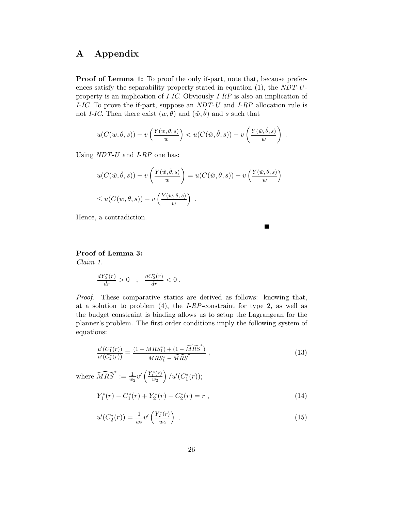## A Appendix

Proof of Lemma 1: To proof the only if-part, note that, because preferences satisfy the separability property stated in equation  $(1)$ , the NDT-Uproperty is an implication of I-IC. Obviously I-RP is also an implication of I-IC. To prove the if-part, suppose an NDT-U and I-RP allocation rule is not *I-IC*. Then there exist  $(w, \theta)$  and  $(\hat{w}, \hat{\theta})$  and s such that

$$
u(C(w, \theta, s)) - v\left(\frac{Y(w, \theta, s)}{w}\right) < u(C(\hat{w}, \hat{\theta}, s)) - v\left(\frac{Y(\hat{w}, \hat{\theta}, s)}{w}\right) \; .
$$

Using  $NDT-U$  and  $I-RP$  one has:

$$
u(C(\hat{w}, \hat{\theta}, s)) - v\left(\frac{Y(\hat{w}, \hat{\theta}, s)}{w}\right) = u(C(\hat{w}, \theta, s)) - v\left(\frac{Y(\hat{w}, \theta, s)}{w}\right)
$$
  

$$
\leq u(C(w, \theta, s)) - v\left(\frac{Y(w, \theta, s)}{w}\right).
$$

 $\blacksquare$ 

Hence, a contradiction.

#### Proof of Lemma 3:

Claim 1.

$$
\frac{dY_2^*(r)}{dr} > 0 \quad ; \quad \frac{dC_2^*(r)}{dr} < 0 \; .
$$

Proof. These comparative statics are derived as follows: knowing that, at a solution to problem  $(4)$ , the *I-RP*-constraint for type 2, as well as the budget constraint is binding allows us to setup the Lagrangean for the planner's problem. The first order conditions imply the following system of equations:

$$
\frac{u'(C_1^*(r))}{u'(C_2^*(r))} = \frac{(1 - MRS_1^*) + (1 - \widehat{MRS}^*)}{MRS_1^* - \widehat{MRS}^*},\tag{13}
$$

where  $\widehat{MRS}^* := \frac{1}{w_2} v' \left(\frac{Y_1^*(r)}{w_2}\right)$  $\left(\frac{u^{*}(r)}{w_{2}}\right)/u'(C^{*}_{1}(r));$ 

$$
Y_1^*(r) - C_1^*(r) + Y_2^*(r) - C_2^*(r) = r \,, \tag{14}
$$

$$
u'(C_2^*(r)) = \frac{1}{w_2}v'\left(\frac{Y_2^*(r)}{w_2}\right) \,,\tag{15}
$$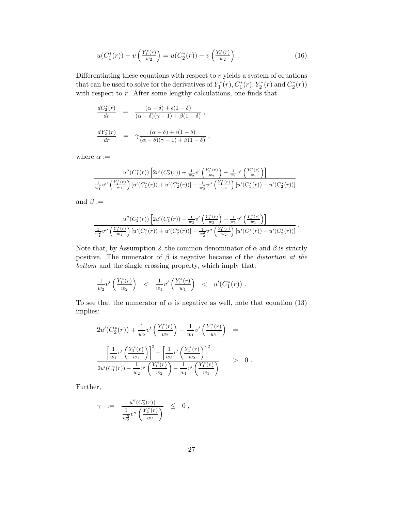$$
u(C_1^*(r)) - v\left(\frac{Y_1^*(r)}{w_2}\right) = u(C_2^*(r)) - v\left(\frac{Y_2^*(r)}{w_2}\right) \tag{16}
$$

Differentiating these equations with respect to  $r$  yields a system of equations that can be used to solve for the derivatives of  $Y_1^*(r)$ ,  $C_1^*(r)$ ,  $Y_2^*(r)$  and  $C_2^*(r)$ ) with respect to  $r$ . After some lengthy calculations, one finds that

$$
\frac{dC_2^*(r)}{dr} = \frac{(\alpha - \delta) + \epsilon(1 - \delta)}{(\alpha - \delta)(\gamma - 1) + \beta(1 - \delta)},
$$
  

$$
\frac{dY_2^*(r)}{dr} = \gamma \frac{(\alpha - \delta) + \epsilon(1 - \delta)}{(\alpha - \delta)(\gamma - 1) + \beta(1 - \delta)},
$$

where  $\alpha :=$ 

$$
u''(C_1^*(r))\left[2u'(C_2^*(r)) + \frac{1}{w_2}v'\left(\frac{Y_1^*(r)}{w_2}\right) - \frac{1}{w_1}v'\left(\frac{Y_1^*(r)}{w_1}\right)\right]
$$
  

$$
\frac{1}{w_1^2}v''\left(\frac{Y_1^*(r)}{w_1}\right)\left[u'(C_1^*(r)) + u'(C_2^*(r))\right] - \frac{1}{w_2^2}v''\left(\frac{Y_1^*(r)}{w_2}\right)\left[u'(C_1^*(r)) - u'(C_2^*(r))\right]
$$

and  $\beta :=$ 

$$
\frac{u''(C_2^*(r))\left[2u'(C_1^*(r)) - \frac{1}{w_2}v'\left(\frac{Y_1^*(r)}{w_2}\right) - \frac{1}{w_1}v'\left(\frac{Y_1^*(r)}{w_1}\right)\right]}{\frac{1}{w_1^2}v''\left(\frac{Y_1^*(r)}{w_1}\right)\left[u'(C_1^*(r)) + u'(C_2^*(r))\right] - \frac{1}{w_2^2}v''\left(\frac{Y_1^*(r)}{w_2}\right)\left[u'(C_1^*(r)) - u'(C_2^*(r))\right]}
$$

.

Note that, by Assumption 2, the common denominator of  $\alpha$  and  $\beta$  is strictly positive. The numerator of  $\beta$  is negative because of the *distortion at the* bottom and the single crossing property, which imply that:

$$
\frac{1}{w_2}v'\left(\frac{Y_1^*(r)}{w_2}\right) \quad < \quad \frac{1}{w_1}v'\left(\frac{Y_1^*(r)}{w_1}\right) \quad < \quad u'(C_1^*(r)) \; .
$$

To see that the numerator of  $\alpha$  is negative as well, note that equation (13) implies:

$$
2u'(C_2^*(r)) + \frac{1}{w_2}v'\left(\frac{Y_1^*(r)}{w_2}\right) - \frac{1}{w_1}v'\left(\frac{Y_1^*(r)}{w_1}\right) =
$$
  

$$
\frac{\left[\frac{1}{w_1}v'\left(\frac{Y_1^*(r)}{w_1}\right)\right]^2 - \left[\frac{1}{w_2}v'\left(\frac{Y_1^*(r)}{w_2}\right)\right]^2}{2u'(C_1^*(r)) - \frac{1}{w_2}v'\left(\frac{Y_1^*(r)}{w_2}\right) - \frac{1}{w_1}v'\left(\frac{Y_1^*(r)}{w_1}\right)} > 0.
$$

Further,

$$
\gamma \ \ := \ \ \frac{u''(C_2^*(r))}{\frac{1}{w_2^2}v''\left(\frac{Y_2^*(r)}{w_2}\right)} \ \ \leq \ \ 0 \ ,
$$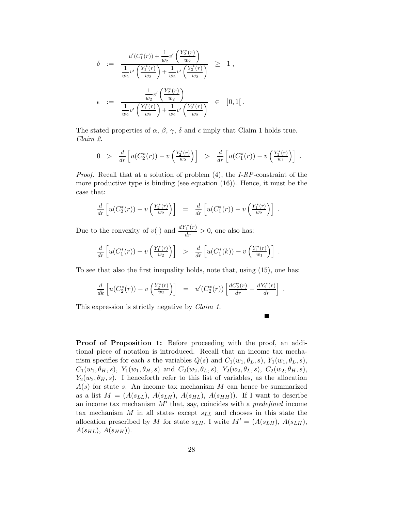$$
\delta := \frac{u'(C_1^*(r)) + \frac{1}{w_2}v'\left(\frac{Y_2^*(r)}{w_2}\right)}{\frac{1}{w_2}v'\left(\frac{Y_1^*(r)}{w_2}\right) + \frac{1}{w_2}v'\left(\frac{Y_2^*(r)}{w_2}\right)} \ge 1,
$$
\n
$$
\epsilon := \frac{\frac{1}{w_2}v'\left(\frac{Y_2^*(r)}{w_2}\right)}{\frac{1}{w_2}v'\left(\frac{Y_1^*(r)}{w_2}\right) + \frac{1}{w_2}v'\left(\frac{Y_2^*(r)}{w_2}\right)} \in [0, 1].
$$

The stated properties of  $\alpha$ ,  $\beta$ ,  $\gamma$ ,  $\delta$  and  $\epsilon$  imply that Claim 1 holds true. Claim 2.

$$
0 > \frac{d}{dr} \left[ u(C_2^*(r)) - v\left(\frac{Y_2^*(r)}{w_2}\right) \right] > \frac{d}{dr} \left[ u(C_1^*(r)) - v\left(\frac{Y_1^*(r)}{w_1}\right) \right].
$$

*Proof.* Recall that at a solution of problem  $(4)$ , the *I-RP*-constraint of the more productive type is binding (see equation (16)). Hence, it must be the case that:

$$
\frac{d}{dr}\left[u(C_2^*(r)) - v\left(\frac{Y_2^*(r)}{w_2}\right)\right] = \frac{d}{dr}\left[u(C_1^*(r)) - v\left(\frac{Y_1^*(r)}{w_2}\right)\right].
$$

Due to the convexity of  $v(\cdot)$  and  $\frac{dY_1^*(r)}{dr} > 0$ , one also has:

$$
\frac{d}{dr}\left[u(C_1^*(r)) - v\left(\frac{Y_1^*(r)}{w_2}\right)\right] > \frac{d}{dr}\left[u(C_1^*(k)) - v\left(\frac{Y_1^*(r)}{w_1}\right)\right].
$$

To see that also the first inequality holds, note that, using (15), one has:

$$
\frac{d}{dk}\left[u(C_2^*(r)) - v\left(\frac{Y_2^*(r)}{w_2}\right)\right] = u'(C_2^*(r))\left[\frac{dC_2^*(r)}{dr} - \frac{dY_2^*(r)}{dr}\right].
$$

■

This expression is strictly negative by *Claim 1*.

Proof of Proposition 1: Before proceeding with the proof, an additional piece of notation is introduced. Recall that an income tax mechanism specifies for each s the variables  $Q(s)$  and  $C_1(w_1, \theta_L, s)$ ,  $Y_1(w_1, \theta_L, s)$ ,  $C_1(w_1, \theta_H, s)$ ,  $Y_1(w_1, \theta_H, s)$  and  $C_2(w_2, \theta_L, s)$ ,  $Y_2(w_2, \theta_L, s)$ ,  $C_2(w_2, \theta_H, s)$ ,  $Y_2(w_2, \theta_H, s)$ . I henceforth refer to this list of variables, as the allocation  $A(s)$  for state s. An income tax mechanism M can hence be summarized as a list  $M = (A(s_{LL}), A(s_{LH}), A(s_{HL}), A(s_{HH}))$ . If I want to describe an income tax mechanism  $M'$  that, say, coincides with a *predefined* income tax mechanism  $M$  in all states except  $s_{LL}$  and chooses in this state the allocation prescribed by M for state  $s_{LH}$ , I write  $M' = (A(s_{LH}), A(s_{LH}),$  $A(s_{HL}), A(s_{HH})$ ).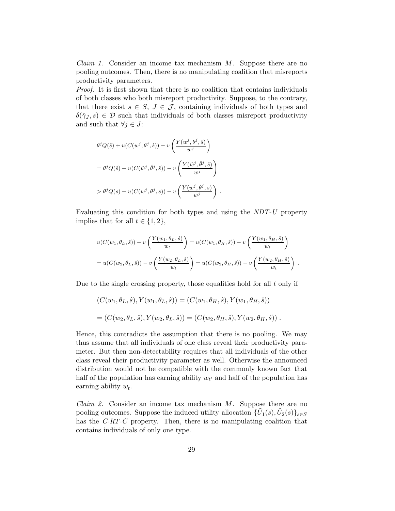*Claim 1.* Consider an income tax mechanism  $M$ . Suppose there are no pooling outcomes. Then, there is no manipulating coalition that misreports productivity parameters.

Proof. It is first shown that there is no coalition that contains individuals of both classes who both misreport productivity. Suppose, to the contrary, that there exist  $s \in S$ ,  $J \in \mathcal{J}$ , containing individuals of both types and  $\delta(\hat{\gamma}_J, s) \in \mathcal{D}$  such that individuals of both classes misreport productivity and such that  $\forall j \in J$ :

$$
\theta^{j}Q(\hat{s}) + u(C(w^{j},\theta^{j},\hat{s})) - v\left(\frac{Y(w^{j},\theta^{j},\hat{s})}{w^{j}}\right)
$$

$$
= \theta^{j}Q(\hat{s}) + u(C(\hat{w}^{j},\hat{\theta}^{j},\hat{s})) - v\left(\frac{Y(\hat{w}^{j},\hat{\theta}^{j},\hat{s})}{w^{j}}\right)
$$

$$
> \theta^{j}Q(s) + u(C(w^{j},\theta^{j},s)) - v\left(\frac{Y(w^{j},\theta^{j},s)}{w^{j}}\right)
$$

Evaluating this condition for both types and using the NDT-U property implies that for all  $t \in \{1, 2\},\$ 

.

$$
u(C(w_1, \theta_L, \hat{s})) - v\left(\frac{Y(w_1, \theta_L, \hat{s})}{w_t}\right) = u(C(w_1, \theta_H, \hat{s})) - v\left(\frac{Y(w_1, \theta_H, \hat{s})}{w_t}\right)
$$
  
=  $u(C(w_2, \theta_L, \hat{s})) - v\left(\frac{Y(w_2, \theta_L, \hat{s})}{w_t}\right) = u(C(w_2, \theta_H, \hat{s})) - v\left(\frac{Y(w_2, \theta_H, \hat{s})}{w_t}\right).$ 

Due to the single crossing property, those equalities hold for all  $t$  only if

$$
(C(w_1, \theta_L, \hat{s}), Y(w_1, \theta_L, \hat{s})) = (C(w_1, \theta_H, \hat{s}), Y(w_1, \theta_H, \hat{s}))
$$
  
= 
$$
(C(w_2, \theta_L, \hat{s}), Y(w_2, \theta_L, \hat{s})) = (C(w_2, \theta_H, \hat{s}), Y(w_2, \theta_H, \hat{s}))
$$
.

Hence, this contradicts the assumption that there is no pooling. We may thus assume that all individuals of one class reveal their productivity parameter. But then non-detectability requires that all individuals of the other class reveal their productivity parameter as well. Otherwise the announced distribution would not be compatible with the commonly known fact that half of the population has earning ability  $w_{t'}$  and half of the population has earning ability  $w_t$ .

*Claim 2.* Consider an income tax mechanism  $M$ . Suppose there are no pooling outcomes. Suppose the induced utility allocation  $\{\tilde{U}_1(s), \tilde{U}_2(s)\}_{s\in S}$ has the C-RT-C property. Then, there is no manipulating coalition that contains individuals of only one type.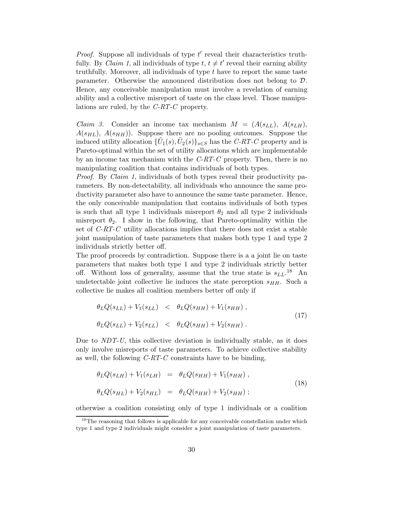*Proof.* Suppose all individuals of type  $t'$  reveal their characteristics truthfully. By *Claim 1*, all individuals of type  $t, t \neq t'$  reveal their earning ability truthfully. Moreover, all individuals of type  $t$  have to report the same taste parameter. Otherwise the announced distribution does not belong to D. Hence, any conceivable manipulation must involve a revelation of earning ability and a collective misreport of taste on the class level. Those manipulations are ruled, by the C-RT-C property.

*Claim 3.* Consider an income tax mechanism  $M = (A(s_{LL}), A(s_{LH}),$  $A(s_{HL}), A(s_{HH})$ . Suppose there are no pooling outcomes. Suppose the induced utility allocation  $\{\tilde{U}_1(s), \tilde{U}_2(s)\}_{s\in S}$  has the C-RT-C property and is Pareto-optimal within the set of utility allocations which are implementable by an income tax mechanism with the  $C-RT-C$  property. Then, there is no manipulating coalition that contains individuals of both types.

*Proof.* By *Claim 1*, individuals of both types reveal their productivity parameters. By non-detectability, all individuals who announce the same productivity parameter also have to announce the same taste parameter. Hence, the only conceivable manipulation that contains individuals of both types is such that all type 1 individuals misreport  $\theta_1$  and all type 2 individuals misreport  $\theta_2$ . I show in the following, that Pareto-optimality within the set of C-RT-C utility allocations implies that there does not exist a stable joint manipulation of taste parameters that makes both type 1 and type 2 individuals strictly better off.

The proof proceeds by contradiction. Suppose there is a a joint lie on taste parameters that makes both type 1 and type 2 individuals strictly better off. Without loss of generality, assume that the true state is  $s_{LL}$ .<sup>18</sup> An undetectable joint collective lie induces the state perception  $s_{HH}$ . Such a collective lie makes all coalition members better off only if

$$
\theta_L Q(s_{LL}) + V_1(s_{LL}) < \theta_L Q(s_{HH}) + V_1(s_{HH}),
$$
\n
$$
\theta_L Q(s_{LL}) + V_2(s_{LL}) < \theta_L Q(s_{HH}) + V_2(s_{HH}). \tag{17}
$$

Due to  $NDT-U$ , this collective deviation is individually stable, as it does only involve misreports of taste parameters. To achieve collective stability as well, the following  $C-RT-C$  constraints have to be binding,

$$
\theta_L Q(s_{LH}) + V_1(s_{LH}) = \theta_L Q(s_{HH}) + V_1(s_{HH}), \n\theta_L Q(s_{HL}) + V_2(s_{HL}) = \theta_L Q(s_{HH}) + V_2(s_{HH});
$$
\n(18)

otherwise a coalition consisting only of type 1 individuals or a coalition

 $^{18}\mathrm{The}$  reasoning that follows is applicable for any conceivable constellation under which type 1 and type 2 individuals might consider a joint manipulation of taste parameters.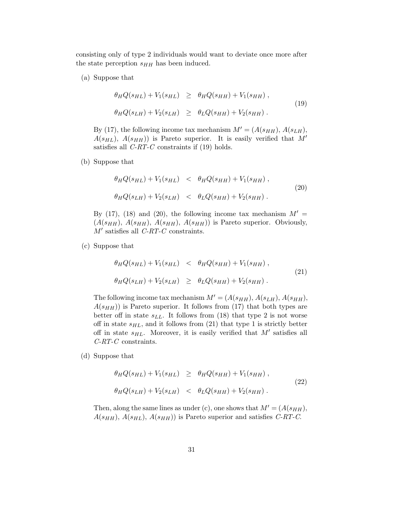consisting only of type 2 individuals would want to deviate once more after the state perception  $s_{HH}$  has been induced.

(a) Suppose that

$$
\theta_H Q(s_{HL}) + V_1(s_{HL}) \geq \theta_H Q(s_{HH}) + V_1(s_{HH}),
$$
  
\n
$$
\theta_H Q(s_{LH}) + V_2(s_{LH}) \geq \theta_L Q(s_{HH}) + V_2(s_{HH}).
$$
\n(19)

By (17), the following income tax mechanism  $M' = (A(s_{HH}), A(s_{LH}),$  $A(s_{HL})$ ,  $A(s_{HH})$  is Pareto superior. It is easily verified that M' satisfies all  $C-RT-C$  constraints if (19) holds.

(b) Suppose that

$$
\theta_H Q(s_{HL}) + V_1(s_{HL}) < \theta_H Q(s_{HH}) + V_1(s_{HH}),
$$
\n
$$
\theta_H Q(s_{LH}) + V_2(s_{LH}) < \theta_L Q(s_{HH}) + V_2(s_{HH}). \tag{20}
$$

By (17), (18) and (20), the following income tax mechanism  $M' =$  $(A(s_{HH}), A(s_{HH}), A(s_{HH}), A(s_{HH}))$  is Pareto superior. Obviously,  $M'$  satisfies all  $\emph{C-RT-C}$  constraints.

(c) Suppose that

$$
\theta_H Q(s_{HL}) + V_1(s_{HL}) < \theta_H Q(s_{HH}) + V_1(s_{HH}),
$$
\n
$$
\theta_H Q(s_{LH}) + V_2(s_{LH}) \geq \theta_L Q(s_{HH}) + V_2(s_{HH}). \tag{21}
$$

The following income tax mechanism  $M' = (A(s_{HH}), A(s_{LH}), A(s_{HH}),$  $A(s_{HH})$ ) is Pareto superior. It follows from (17) that both types are better off in state  $s_{LL}$ . It follows from (18) that type 2 is not worse off in state  $s_{HL}$ , and it follows from (21) that type 1 is strictly better off in state  $s_{HL}$ . Moreover, it is easily verified that  $M'$  satisfies all C-RT-C constraints.

(d) Suppose that

$$
\theta_H Q(s_{HL}) + V_1(s_{HL}) \ge \theta_H Q(s_{HH}) + V_1(s_{HH}),
$$
  
\n
$$
\theta_H Q(s_{LH}) + V_2(s_{LH}) < \theta_L Q(s_{HH}) + V_2(s_{HH}).
$$
\n(22)

Then, along the same lines as under (c), one shows that  $M' = (A(s_{HH}),$  $A(s_{HH})$ ,  $A(s_{HL})$ ,  $A(s_{HH})$  is Pareto superior and satisfies C-RT-C.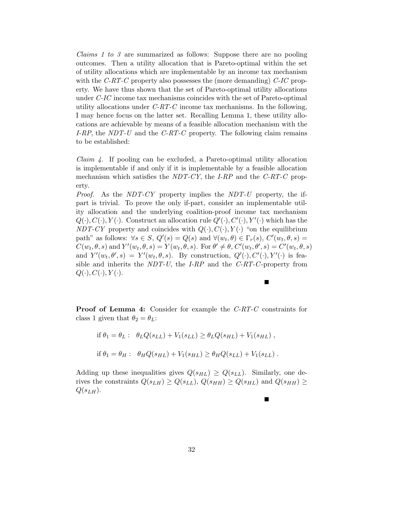Claims 1 to 3 are summarized as follows: Suppose there are no pooling outcomes. Then a utility allocation that is Pareto-optimal within the set of utility allocations which are implementable by an income tax mechanism with the  $C-RT-C$  property also possesses the (more demanding)  $C-C$  property. We have thus shown that the set of Pareto-optimal utility allocations under C-IC income tax mechanisms coincides with the set of Pareto-optimal utility allocations under  $C-RT-C$  income tax mechanisms. In the following, I may hence focus on the latter set. Recalling Lemma 1, these utility allocations are achievable by means of a feasible allocation mechanism with the I-RP, the NDT-U and the C-RT-C property. The following claim remains to be established:

*Claim 4.* If pooling can be excluded, a Pareto-optimal utility allocation is implementable if and only if it is implementable by a feasible allocation mechanism which satisfies the  $NDT-CY$ , the I-RP and the C-RT-C property.

*Proof.* As the NDT-CY property implies the NDT-U property, the ifpart is trivial. To prove the only if-part, consider an implementable utility allocation and the underlying coalition-proof income tax mechanism  $Q(\cdot), C(\cdot), Y(\cdot)$ . Construct an allocation rule  $Q'(\cdot), C'(\cdot), Y'(\cdot)$  which has the NDT-CY property and coincides with  $Q(\cdot), C(\cdot), Y(\cdot)$  "on the equilibrium path" as follows:  $\forall s \in S$ ,  $Q'(s) = Q(s)$  and  $\forall (w_t, \theta) \in \Gamma_r(s)$ ,  $C'(w_t, \theta, s) =$  $C(w_t, \theta, s)$  and  $Y'(w_t, \theta, s) = Y(w_t, \theta, s)$ . For  $\theta' \neq \theta$ ,  $C'(w_t, \theta', s) = C'(w_t, \theta, s)$ and  $Y'(w_t, \theta', s) = Y'(w_t, \theta, s)$ . By construction,  $Q'(\cdot), C'(\cdot), Y'(\cdot)$  is feasible and inherits the  $NDT-U$ , the I-RP and the C-RT-C-property from  $Q(\cdot), C(\cdot), Y(\cdot).$ 

Proof of Lemma 4: Consider for example the C-RT-C constraints for class 1 given that  $\theta_2 = \theta_L$ :

о

П

if 
$$
\theta_1 = \theta_L
$$
:  $\theta_L Q(s_{LL}) + V_1(s_{LL}) \ge \theta_L Q(s_{HL}) + V_1(s_{HL})$ ,  
if  $\theta_1 = \theta_H$ :  $\theta_H Q(s_{HL}) + V_1(s_{HL}) \ge \theta_H Q(s_{LL}) + V_1(s_{LL})$ .

Adding up these inequalities gives  $Q(s_{HL}) \geq Q(s_{LL})$ . Similarly, one derives the constraints  $Q(s_{LH}) \geq Q(s_{LL}), Q(s_{HH}) \geq Q(s_{HL})$  and  $Q(s_{HH}) \geq$  $Q(s_{LH}).$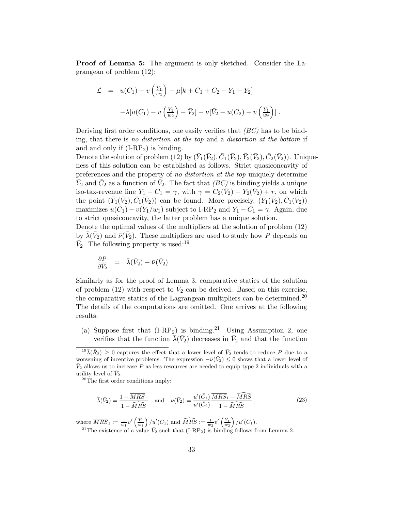Proof of Lemma 5: The argument is only sketched. Consider the Lagrangean of problem (12):

$$
\mathcal{L} = u(C_1) - v\left(\frac{Y_1}{w_1}\right) - \mu[k + C_1 + C_2 - Y_1 - Y_2] \n- \lambda[u(C_1) - v\left(\frac{Y_1}{w_2}\right) - \bar{V}_2] - \nu[\bar{V}_2 - u(C_2) - v\left(\frac{Y_1}{w_2}\right)].
$$

Deriving first order conditions, one easily verifies that  $(BC)$  has to be binding, that there is no distortion at the top and a distortion at the bottom if and and only if  $(I-RP_2)$  is binding.

Denote the solution of problem (12) by  $(\bar{Y}_1(\bar{V}_2), \bar{C}_1(\bar{V}_2), \bar{Y}_2(\bar{V}_2), \bar{C}_2(\bar{V}_2))$ . Uniqueness of this solution can be established as follows. Strict quasiconcavity of preferences and the property of no distortion at the top uniquely determine  $\bar{Y}_2$  and  $\bar{C}_2$  as a function of  $\bar{V}_2$ . The fact that  $(BC)$  is binding yields a unique iso-tax-revenue line  $Y_1 - C_1 = \gamma$ , with  $\gamma = C_2(\bar{V}_2) - Y_2(\bar{V}_2) + r$ , on which the point  $(\bar{Y}_1(\bar{V}_2), \bar{C}_1(\bar{V}_2))$  can be found. More precisely,  $(\bar{Y}_1(\bar{V}_2), \bar{C}_1(\bar{V}_2))$ maximizes  $u(C_1) - v(Y_1/w_1)$  subject to I-RP<sub>2</sub> and  $Y_1 - C_1 = \gamma$ . Again, due to strict quasiconcavity, the latter problem has a unique solution.

Denote the optimal values of the multipliers at the solution of problem (12) by  $\bar{\lambda}(\bar{V}_2)$  and  $\bar{\nu}(\bar{V}_2)$ . These multipliers are used to study how P depends on  $\bar{V}_2$ . The following property is used:<sup>19</sup>

$$
\frac{\partial P}{\partial \bar{V}_2} = \bar{\lambda}(\bar{V}_2) - \bar{\nu}(\bar{V}_2) .
$$

Similarly as for the proof of Lemma 3, comparative statics of the solution of problem (12) with respect to  $\bar{V}_2$  can be derived. Based on this exercise, the comparative statics of the Lagrangean multipliers can be determined.<sup>20</sup> The details of the computations are omitted. One arrives at the following results:

(a) Suppose first that  $(I-RP_2)$  is binding.<sup>21</sup> Using Assumption 2, one verifies that the function  $\bar{\lambda}(\bar{V}_2)$  decreases in  $\bar{V}_2$  and that the function

<sup>20</sup>The first order conditions imply:

$$
\bar{\lambda}(\bar{V}_2) = \frac{1 - \overline{MRS_1}}{1 - \overline{MRS}} \quad \text{and} \quad \bar{\nu}(\bar{V}_2) = \frac{u'(\bar{C}_1)}{u'(\bar{C}_2)} \frac{\overline{MRS_1} - \widehat{MRS}}{1 - \overline{MRS}}, \qquad (23)
$$

where  $\overline{MRS}_1 := \frac{1}{w_1} v' \left( \frac{\bar{Y}_1}{w_1} \right)$  $\left\langle \right\rangle /u^{\prime}(\bar{C}_{1})$  and  $\widehat{MRS} := \frac{1}{w_{2}}v^{\prime}\left(\frac{\bar{Y}_{1}}{w_{2}}\right)$  $\big) / u'(\bar{C}_1).$ 

<sup>21</sup>The existence of a value  $\bar{V}_2$  such that (I-RP<sub>2</sub>) is binding follows from Lemma 2.

 $19\bar{\lambda}(\bar{R}_2) \geq 0$  captures the effect that a lower level of  $\bar{V}_2$  tends to reduce P due to a worsening of incentive problems. The expression  $-\bar{\nu}(\bar{V}_2) \leq 0$  shows that a lower level of  $\bar{V}_2$  allows us to increase P as less resources are needed to equip type 2 individuals with a utility level of  $\bar{V}_2$ .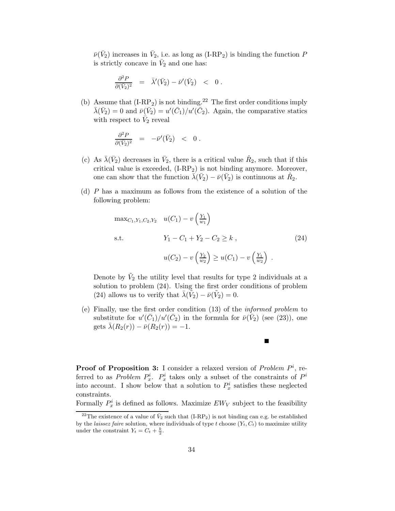$\bar{\nu}(\bar{V}_2)$  increases in  $\bar{V}_2$ , i.e. as long as (I-RP<sub>2</sub>) is binding the function P is strictly concave in  $\bar{V}_2$  and one has:

$$
\frac{\partial^2 P}{\partial (\bar{V}_2)^2} = \bar{\lambda}'(\bar{V}_2) - \bar{\nu}'(\bar{V}_2) < 0.
$$

(b) Assume that  $(I-RP_2)$  is not binding.<sup>22</sup> The first order conditions imply  $\bar{\lambda}(\bar{V}_2) = 0$  and  $\bar{\nu}(\bar{V}_2) = u'(\bar{C}_1)/u'(\bar{C}_2)$ . Again, the comparative statics with respect to  $\bar{V}_2$  reveal

$$
\frac{\partial^2 P}{\partial (\bar{V}_2)^2} = -\bar{\nu}'(\bar{V}_2) < 0.
$$

- (c) As  $\bar{\lambda}(\bar{V}_2)$  decreases in  $\bar{V}_2$ , there is a critical value  $\hat{R}_2$ , such that if this critical value is exceeded,  $(I-RP_2)$  is not binding anymore. Moreover, one can show that the function  $\bar{\lambda}(\bar{V}_2) - \bar{\nu}(\bar{V}_2)$  is continuous at  $\hat{R}_2$ .
- (d) P has a maximum as follows from the existence of a solution of the following problem:

$$
\max_{C_1, Y_1, C_2, Y_2} u(C_1) - v\left(\frac{Y_1}{w_1}\right)
$$
  
s.t. 
$$
Y_1 - C_1 + Y_2 - C_2 \ge k, \qquad (24)
$$

$$
u(C_2) - v\left(\frac{Y_2}{w_2}\right) \ge u(C_1) - v\left(\frac{Y_1}{w_2}\right).
$$

Denote by  $\tilde{V}_2$  the utility level that results for type 2 individuals at a solution to problem (24). Using the first order conditions of problem (24) allows us to verify that  $\bar{\lambda}(\tilde{V}_2) - \bar{\nu}(\tilde{V}_2) = 0$ .

(e) Finally, use the first order condition (13) of the informed problem to substitute for  $u'(\bar{C}_1)/u'(\bar{C}_2)$  in the formula for  $\bar{\nu}(\bar{V}_2)$  (see (23)), one gets  $\bar{\lambda}(R_2(r)) - \bar{\nu}(R_2(r)) = -1.$ 

 $\blacksquare$ 

**Proof of Proposition 3:** I consider a relaxed version of *Problem*  $P<sup>i</sup>$ , referred to as *Problem*  $P_x^i$ .  $P_x^i$  takes only a subset of the constraints of  $P^i$ into account. I show below that a solution to  $P_x^i$  satisfies these neglected constraints.

Formally  $P_x^i$  is defined as follows. Maximize  $EW_V$  subject to the feasibility

<sup>&</sup>lt;sup>22</sup>The existence of a value of  $\bar{V}_2$  such that (I-RP<sub>2</sub>) is not binding can e.g. be established by the *laissez faire* solution, where individuals of type t choose  $(Y_t, C_t)$  to maximize utility under the constraint  $Y_t = C_t + \frac{k}{2}$ .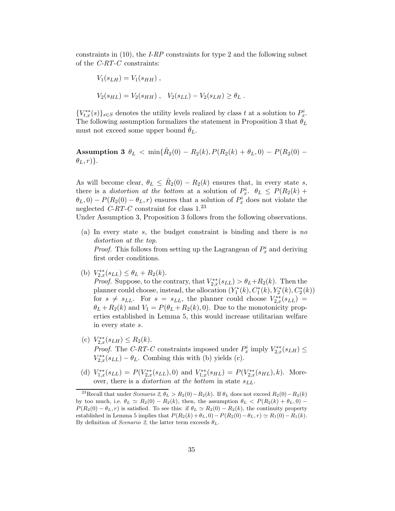constraints in  $(10)$ , the *I-RP* constraints for type 2 and the following subset of the C-RT-C constraints:

$$
V_1(s_{LH}) = V_1(s_{HH}),
$$
  
\n
$$
V_2(s_{HL}) = V_2(s_{HH}), \quad V_2(s_{LL}) - V_2(s_{LH}) \ge \theta_L.
$$

 ${V}_{t,x}^{**}(s) \}_{s \in S}$  denotes the utility levels realized by class t at a solution to  $P_x^i$ . The following assumption formalizes the statement in Proposition 3 that  $\theta_L$ must not exceed some upper bound  $\theta_L$ .

Assumption 3  $\theta_L < \min{\{\hat{R}_2(0) - R_2(k), P(R_2(k) + \theta_L, 0) - P(R_2(0) - \theta_L)\}}$  $\{\theta_L, r\}$ .

As will become clear,  $\theta_L \leq \hat{R}_2(0) - R_2(k)$  ensures that, in every state s, there is a *distortion at the bottom* at a solution of  $P_x^i$ .  $\theta_L \leq P(R_2(k) +$  $\theta_L$ , 0) –  $P(R_2(0) - \theta_L, r)$  ensures that a solution of  $P_x^i$  does not violate the neglected C-RT-C constraint for class  $1.^{23}$ 

Under Assumption 3, Proposition 3 follows from the following observations.

(a) In every state s, the budget constraint is binding and there is no distortion at the top.

*Proof.* This follows from setting up the Lagrangean of  $P_x^i$  and deriving first order conditions.

- (b)  $V_{2,x}^{**}(s_{LL}) \leq \theta_L + R_2(k)$ . *Proof.* Suppose, to the contrary, that  $V_{2,x}^{**}(s_{LL}) > \theta_L + R_2(k)$ . Then the planner could choose, instead, the allocation  $(Y_1^*(k), C_1^*(k), Y_2^*(k), C_2^*(k))$ for  $s \neq s_{LL}$ . For  $s = s_{LL}$ , the planner could choose  $V_{2,x}^{**}(s_{LL}) =$  $\theta_L + R_2(k)$  and  $V_1 = P(\theta_L + R_2(k), 0)$ . Due to the monotonicity properties established in Lemma 5, this would increase utilitarian welfare in every state s.
- (c)  $V_{2,x}^{**}(s_{LH}) \leq R_2(k)$ . *Proof.* The C-RT-C constraints imposed under  $P_x^i$  imply  $V_{2,x}^{**}(s_{LH}) \leq$  $V_{2,x}^{**}(s_{LL}) - \theta_L$ . Combing this with (b) yields (c).
- (d)  $V_{1,x}^{**}(s_{LL}) = P(V_{2,x}^{**}(s_{LL}), 0)$  and  $V_{1,x}^{**}(s_{HL}) = P(V_{2,x}^{**}(s_{HL}), k)$ . Moreover, there is a *distortion at the bottom* in state  $s_{LL}$ .

<sup>&</sup>lt;sup>23</sup>Recall that under Scenario 2,  $\theta_L > R_2(0) - R_2(k)$ . If  $\theta_L$  does not exceed  $R_2(0) - R_2(k)$ by too much, i.e.  $\theta_L \simeq R_2(0) - R_2(k)$ , then, the assumption  $\theta_L < P(R_2(k) + \theta_L, 0)$  $P(R_2(0) - \theta_L, r)$  is satisfied. To see this: if  $\theta_L \simeq R_2(0) - R_2(k)$ , the continuity property established in Lemma 5 implies that  $P(R_2(k) + \theta_L, 0) - P(R_2(0) - \theta_L, r) \simeq R_1(0) - R_1(k)$ . By definition of *Scenario* 2, the latter term exceeds  $\theta_L$ .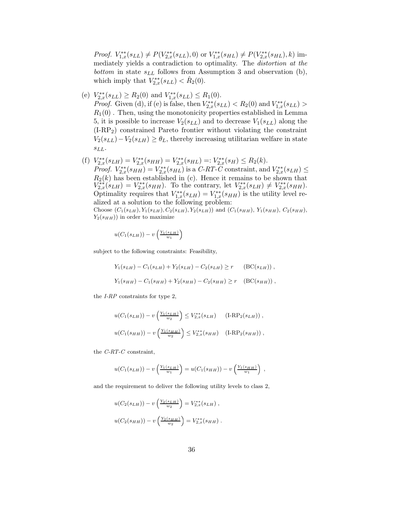*Proof.*  $V_{1,x}^{**}(s_{LL}) \neq P(V_{2,x}^{**}(s_{LL}), 0)$  or  $V_{1,x}^{**}(s_{HL}) \neq P(V_{2,x}^{**}(s_{HL}), k)$  immediately yields a contradiction to optimality. The distortion at the bottom in state  $s_{LL}$  follows from Assumption 3 and observation (b), which imply that  $V_{2,x}^{**}(s_{LL}) < \hat{R}_2(0)$ .

- (e)  $V_{2,x}^{**}(s_{LL}) \ge R_2(0)$  and  $V_{1,x}^{**}(s_{LL}) \le R_1(0)$ . *Proof.* Given (d), if (e) is false, then  $V_{2,x}^{**}(s_{LL}) < R_2(0)$  and  $V_{1,x}^{**}(s_{LL}) >$  $R_1(0)$ . Then, using the monotonicity properties established in Lemma 5, it is possible to increase  $V_2(s_{LL})$  and to decrease  $V_1(s_{LL})$  along the (I-RP2) constrained Pareto frontier without violating the constraint  $V_2(s_{LL})-V_2(s_{LH}) \geq \theta_L$ , thereby increasing utilitarian welfare in state  $SLL$ .
- (f)  $V_{2,x}^{**}(s_{LH}) = V_{2,x}^{**}(s_{HH}) = V_{2,x}^{**}(s_{HL}) =: V_{2,x}^{**}(s_H) \leq R_2(k).$ *Proof.*  $V_{2,x}^{**}(s_{HH}) = V_{2,x}^{**}(s_{HL})$  is a C-RT-C constraint, and  $V_{2,x}^{**}(s_{LH}) \le$  $R_2(k)$  has been established in (c). Hence it remains to be shown that  $V_{2,x}^{**}(s_{LH}) = V_{2,x}^{**}(s_{HH})$ . To the contrary, let  $V_{2,x}^{**}(s_{LH}) \neq V_{2,x}^{**}(s_{HH})$ . Optimality requires that  $V_{1,x}^{**}(s_{LH}) = V_{1,x}^{**}(s_{HH})$  is the utility level realized at a solution to the following problem: Choose  $(C_1(s_{LH}), Y_1(s_{LH}), C_2(s_{LH}), Y_2(s_{LH}))$  and  $(C_1(s_{HH}), Y_1(s_{HH}), C_2(s_{HH}),$  $Y_2(s_{HH})$ ) in order to maximize

$$
u(C_1(s_{LH})) - v\left(\frac{Y_1(s_{LH})}{w_1}\right)
$$

subject to the following constraints: Feasibility,

$$
Y_1(s_{LH}) - C_1(s_{LH}) + Y_2(s_{LH}) - C_2(s_{LH}) \ge r \qquad (BC(s_{LH}))
$$
\n
$$
Y_1(s_{HH}) - C_1(s_{HH}) + Y_2(s_{HH}) - C_2(s_{HH}) \ge r \qquad (BC(s_{HH}))
$$

the I-RP constraints for type 2,

$$
u(C_1(s_{LH})) - v\left(\frac{Y_1(s_{LH})}{w_2}\right) \le V_{2,x}^{**}(s_{LH}) \qquad (\text{I-RP}_2(s_{LH}))
$$
\n
$$
u(C_1(s_{HH})) - v\left(\frac{Y_1(s_{HH})}{w_2}\right) \le V_{2,x}^{**}(s_{HH}) \qquad (\text{I-RP}_2(s_{HH}))
$$

the  $C$ -RT-C constraint,

$$
u(C_1(s_{LH})) - v\left(\frac{Y_1(s_{LH})}{w_1}\right) = u(C_1(s_{HH})) - v\left(\frac{Y_1(s_{HH})}{w_1}\right) ,
$$

and the requirement to deliver the following utility levels to class 2,

$$
u(C_2(s_{LH})) - v\left(\frac{Y_2(s_{LH})}{w_2}\right) = V_{2,x}^{**}(s_{LH}),
$$
  

$$
u(C_2(s_{HH})) - v\left(\frac{Y_2(s_{HH})}{w_2}\right) = V_{2,x}^{**}(s_{HH}).
$$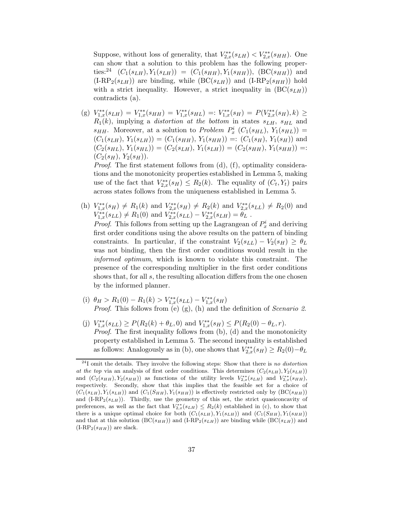Suppose, without loss of generality, that  $V_{2,x}^{**}(s_{LH}) < V_{2,x}^{**}(s_{HH})$ . One can show that a solution to this problem has the following properties:<sup>24</sup>  $(C_1(s_{LH}), Y_1(s_{LH})) = (C_1(s_{HH}), Y_1(s_{HH}))$ ,  $(BC(s_{HH}))$  and  $(IRP<sub>2</sub>(s<sub>LH</sub>))$  are binding, while  $(BC(s<sub>LH</sub>))$  and  $(IRP<sub>2</sub>(s<sub>HH</sub>))$  hold with a strict inequality. However, a strict inequality in  $(BC(s<sub>LLH</sub>))$ contradicts (a).

(g)  $V_{1,x}^{**}(s_{LH}) = V_{1,x}^{**}(s_{HH}) = V_{1,x}^{**}(s_{HL}) =: V_{1,x}^{**}(s_H) = P(V_{2,x}^{**}(s_H), k) \geq$  $R_1(k)$ , implying a distortion at the bottom in states  $s_{LH}$ ,  $s_{HL}$  and  $s_{HH}$ . Moreover, at a solution to *Problem P<sub>x</sub>* ( $C_1(s_{HL})$ ,  $Y_1(s_{HL})$ ) =  $(C_1(s_{LH}), Y_1(s_{LH})) = (C_1(s_{HH}), Y_1(s_{HH})) =: (C_1(s_H), Y_1(s_H))$  and  $(C_2(s_{HL}), Y_1(s_{HL})) = (C_2(s_{LH}), Y_1(s_{LH})) = (C_2(s_{HH}), Y_1(s_{HH})) =$  $(C_2(s_H), Y_2(s_H)).$ 

Proof. The first statement follows from (d), (f), optimality considerations and the monotonicity properties established in Lemma 5, making use of the fact that  $V_{2,x}^{**}(s_H) \leq R_2(k)$ . The equality of  $(C_t, Y_t)$  pairs across states follows from the uniqueness established in Lemma 5.

(h)  $V_{1,x}^{**}(s_H) \neq R_1(k)$  and  $V_{2,x}^{**}(s_H) \neq R_2(k)$  and  $V_{2,x}^{**}(s_{LL}) \neq R_2(0)$  and  $V_{1,x}^{**}(s_{LL}) \neq R_1(0)$  and  $V_{2,x}^{**}(s_{LL}) - V_{2,x}^{**}(s_{LH}) = \theta_L$ .

*Proof.* This follows from setting up the Lagrangean of  $P_x^i$  and deriving first order conditions using the above results on the pattern of binding constraints. In particular, if the constraint  $V_2(s_{LL}) - V_2(s_H) \geq \theta_L$ was not binding, then the first order conditions would result in the informed optimum, which is known to violate this constraint. The presence of the corresponding multiplier in the first order conditions shows that, for all  $s$ , the resulting allocation differs from the one chosen by the informed planner.

- (i)  $\theta_H > R_1(0) R_1(k) > V_{1,x}^{**}(s_{LL}) V_{1,x}^{**}(s_H)$ *Proof.* This follows from (e)  $(g)$ ,  $(h)$  and the definition of *Scenario 2*.
- (j)  $V_{1,x}^{**}(s_{LL}) \ge P(R_2(k) + \theta_L, 0)$  and  $V_{1,x}^{**}(s_H) \le P(R_2(0) \theta_L, r)$ . Proof. The first inequality follows from (b), (d) and the monotonicity property established in Lemma 5. The second inequality is established as follows: Analogously as in (b), one shows that  $V_{2,x}^{**}(s_H) \ge R_2(0) - \theta_L$

 $^{24}$ I omit the details. They involve the following steps: Show that there is no distortion at the top via an analysis of first order conditions. This determines  $(C_2(s_{LH}), Y_2(s_{LH}))$ and  $(C_2(s_{HH}), Y_2(s_{HH}))$  as functions of the utility levels  $V_{2,x}^{**}(s_{LH})$  and  $V_{2,x}^{**}(s_{HH})$ , respectively. Secondly, show that this implies that the feasible set for a choice of  $(C_1(s_{LH}), Y_1(s_{LH}))$  and  $(C_1(S_{HH}), Y_1(s_{HH}))$  is effectively restricted only by  $(BC(s_{HH}))$ and  $(IRP<sub>2</sub>(s<sub>LI</sub>))$ . Thirdly, use the geometry of this set, the strict quasiconcavity of preferences, as well as the fact that  $V_{2,x}^{**}(s_{LH}) \leq R_2(k)$  established in (c), to show that there is a unique optimal choice for both  $(C_1(s_{LH}), Y_1(s_{LH}))$  and  $(C_1(S_{HH}), Y_1(s_{HH}))$ and that at this solution  $(BC(s_{HH}))$  and  $(IRP<sub>2</sub>(s_{LH}))$  are binding while  $(BC(s_{LH}))$  and  $(I-RP_2(s_{HH}))$  are slack.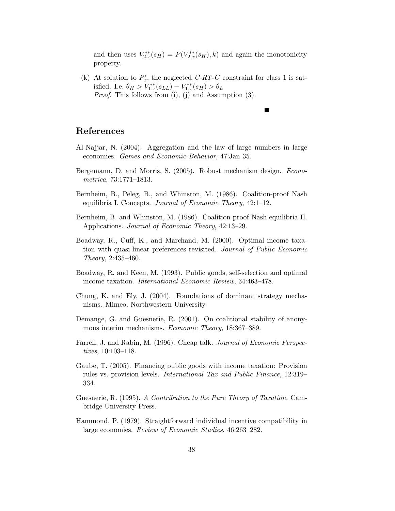and then uses  $V_{2,x}^{**}(s_H) = P(V_{2,x}^{**}(s_H), k)$  and again the monotonicity property.

П

(k) At solution to  $P_x^i$ , the neglected C-RT-C constraint for class 1 is satisfied. I.e.  $\theta_H > V_{1,x}^{**}(s_{LL}) - V_{1,x}^{**}(s_H) > \theta_L$ *Proof.* This follows from  $(i)$ ,  $(j)$  and Assumption  $(3)$ .

## References

- Al-Najjar, N. (2004). Aggregation and the law of large numbers in large economies. Games and Economic Behavior, 47:Jan 35.
- Bergemann, D. and Morris, S. (2005). Robust mechanism design. Econometrica, 73:1771–1813.
- Bernheim, B., Peleg, B., and Whinston, M. (1986). Coalition-proof Nash equilibria I. Concepts. Journal of Economic Theory, 42:1–12.
- Bernheim, B. and Whinston, M. (1986). Coalition-proof Nash equilibria II. Applications. Journal of Economic Theory, 42:13–29.
- Boadway, R., Cuff, K., and Marchand, M. (2000). Optimal income taxation with quasi-linear preferences revisited. Journal of Public Economic Theory, 2:435–460.
- Boadway, R. and Keen, M. (1993). Public goods, self-selection and optimal income taxation. International Economic Review, 34:463–478.
- Chung, K. and Ely, J. (2004). Foundations of dominant strategy mechanisms. Mimeo, Northwestern University.
- Demange, G. and Guesnerie, R. (2001). On coalitional stability of anonymous interim mechanisms. Economic Theory, 18:367–389.
- Farrell, J. and Rabin, M. (1996). Cheap talk. Journal of Economic Perspectives, 10:103–118.
- Gaube, T. (2005). Financing public goods with income taxation: Provision rules vs. provision levels. International Tax and Public Finance, 12:319– 334.
- Guesnerie, R. (1995). A Contribution to the Pure Theory of Taxation. Cambridge University Press.
- Hammond, P. (1979). Straightforward individual incentive compatibility in large economies. Review of Economic Studies, 46:263–282.